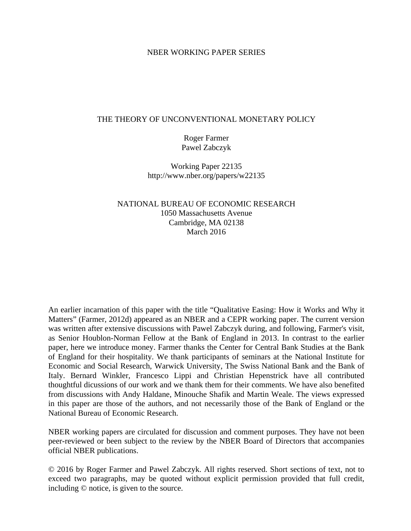# NBER WORKING PAPER SERIES

# THE THEORY OF UNCONVENTIONAL MONETARY POLICY

Roger Farmer Pawel Zabczyk

Working Paper 22135 http://www.nber.org/papers/w22135

NATIONAL BUREAU OF ECONOMIC RESEARCH 1050 Massachusetts Avenue Cambridge, MA 02138 March 2016

An earlier incarnation of this paper with the title "Qualitative Easing: How it Works and Why it Matters" (Farmer, 2012d) appeared as an NBER and a CEPR working paper. The current version was written after extensive discussions with Pawel Zabczyk during, and following, Farmer's visit, as Senior Houblon-Norman Fellow at the Bank of England in 2013. In contrast to the earlier paper, here we introduce money. Farmer thanks the Center for Central Bank Studies at the Bank of England for their hospitality. We thank participants of seminars at the National Institute for Economic and Social Research, Warwick University, The Swiss National Bank and the Bank of Italy. Bernard Winkler, Francesco Lippi and Christian Hepenstrick have all contributed thoughtful dicussions of our work and we thank them for their comments. We have also benefited from discussions with Andy Haldane, Minouche Shafik and Martin Weale. The views expressed in this paper are those of the authors, and not necessarily those of the Bank of England or the National Bureau of Economic Research.

NBER working papers are circulated for discussion and comment purposes. They have not been peer-reviewed or been subject to the review by the NBER Board of Directors that accompanies official NBER publications.

© 2016 by Roger Farmer and Pawel Zabczyk. All rights reserved. Short sections of text, not to exceed two paragraphs, may be quoted without explicit permission provided that full credit, including © notice, is given to the source.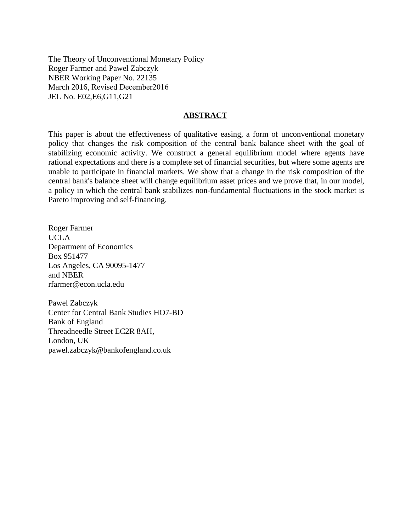The Theory of Unconventional Monetary Policy Roger Farmer and Pawel Zabczyk NBER Working Paper No. 22135 March 2016, Revised December2016 JEL No. E02,E6,G11,G21

# **ABSTRACT**

This paper is about the effectiveness of qualitative easing, a form of unconventional monetary policy that changes the risk composition of the central bank balance sheet with the goal of stabilizing economic activity. We construct a general equilibrium model where agents have rational expectations and there is a complete set of financial securities, but where some agents are unable to participate in financial markets. We show that a change in the risk composition of the central bank's balance sheet will change equilibrium asset prices and we prove that, in our model, a policy in which the central bank stabilizes non-fundamental fluctuations in the stock market is Pareto improving and self-financing.

Roger Farmer UCLA Department of Economics Box 951477 Los Angeles, CA 90095-1477 and NBER rfarmer@econ.ucla.edu

Pawel Zabczyk Center for Central Bank Studies HO7-BD Bank of England Threadneedle Street EC2R 8AH, London, UK pawel.zabczyk@bankofengland.co.uk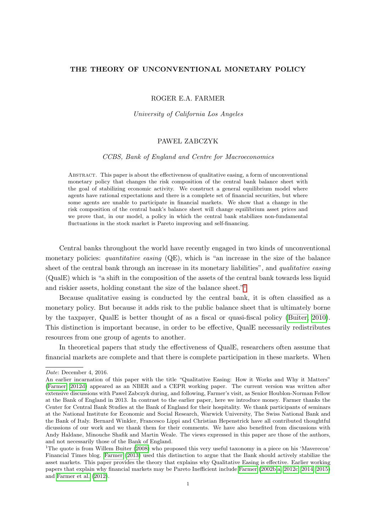#### THE THEORY OF UNCONVENTIONAL MONETARY POLICY

#### ROGER E.A. FARMER

### University of California Los Angeles

## PAWEL ZABCZYK

### CCBS, Bank of England and Centre for Macroeconomics

Abstract. This paper is about the effectiveness of qualitative easing, a form of unconventional monetary policy that changes the risk composition of the central bank balance sheet with the goal of stabilizing economic activity. We construct a general equilibrium model where agents have rational expectations and there is a complete set of financial securities, but where some agents are unable to participate in financial markets. We show that a change in the risk composition of the central bank's balance sheet will change equilibrium asset prices and we prove that, in our model, a policy in which the central bank stabilizes non-fundamental fluctuations in the stock market is Pareto improving and self-financing.

Central banks throughout the world have recently engaged in two kinds of unconventional monetary policies: quantitative easing (QE), which is "an increase in the size of the balance sheet of the central bank through an increase in its monetary liabilities", and *qualitative easing* (QualE) which is "a shift in the composition of the assets of the central bank towards less liquid and riskier assets, holding constant the size of the balance sheet."<sup>[1](#page-2-0)</sup>

Because qualitative easing is conducted by the central bank, it is often classified as a monetary policy. But because it adds risk to the public balance sheet that is ultimately borne by the taxpayer, QualE is better thought of as a fiscal or quasi-fiscal policy [\(Buiter, 2010\)](#page-25-0). This distinction is important because, in order to be effective, QualE necessarily redistributes resources from one group of agents to another.

In theoretical papers that study the effectiveness of QualE, researchers often assume that financial markets are complete and that there is complete participation in these markets. When

Date: December 4, 2016.

An earlier incarnation of this paper with the title "Qualitative Easing: How it Works and Why it Matters" [\(Farmer, 2012d\)](#page-25-1) appeared as an NBER and a CEPR working paper. The current version was written after extensive discussions with Pawel Zabczyk during, and following, Farmer's visit, as Senior Houblon-Norman Fellow at the Bank of England in 2013. In contrast to the earlier paper, here we introduce money. Farmer thanks the Center for Central Bank Studies at the Bank of England for their hospitality. We thank participants of seminars at the National Institute for Economic and Social Research, Warwick University, The Swiss National Bank and the Bank of Italy. Bernard Winkler, Francesco Lippi and Christian Hepenstrick have all contributed thoughtful dicussions of our work and we thank them for their comments. We have also benefited from discussions with Andy Haldane, Minouche Shafik and Martin Weale. The views expressed in this paper are those of the authors, and not necessarily those of the Bank of England.

<span id="page-2-0"></span><sup>&</sup>lt;sup>1</sup>The quote is from Willem Buiter [\(2008\)](#page-25-2) who proposed this very useful taxonomy in a piece on his 'Maverecon' Financial Times blog. [Farmer](#page-25-3) [\(2013\)](#page-25-3) used this distinction to argue that the Bank should actively stabilize the asset markets. This paper provides the theory that explains why Qualitative Easing is effective. Earlier working papers that explain why financial markets may be Pareto Inefficient include [Farmer](#page-25-4) [\(2002b,](#page-25-4)[a,](#page-25-5) [2012c,](#page-25-6) [2014,](#page-26-0) [2015\)](#page-26-1) and [Farmer et al.](#page-26-2) [\(2012\)](#page-26-2).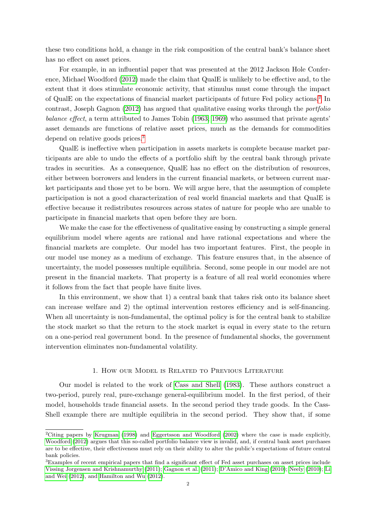these two conditions hold, a change in the risk composition of the central bank's balance sheet has no effect on asset prices.

For example, in an influential paper that was presented at the 2012 Jackson Hole Conference, Michael Woodford [\(2012\)](#page-27-0) made the claim that QualE is unlikely to be effective and, to the extent that it does stimulate economic activity, that stimulus must come through the impact of QualE on the expectations of financial market participants of future Fed policy actions.<sup>[2](#page-3-0)</sup> In contrast, Joseph Gagnon [\(2012\)](#page-26-3) has argued that qualitative easing works through the portfolio balance effect, a term attributed to James Tobin [\(1963;](#page-27-1) [1969\)](#page-27-2) who assumed that private agents' asset demands are functions of relative asset prices, much as the demands for commodities depend on relative goods prices.<sup>[3](#page-3-1)</sup>

QualE is ineffective when participation in assets markets is complete because market participants are able to undo the effects of a portfolio shift by the central bank through private trades in securities. As a consequence, QualE has no effect on the distribution of resources, either between borrowers and lenders in the current financial markets, or between current market participants and those yet to be born. We will argue here, that the assumption of complete participation is not a good characterization of real world financial markets and that QualE is effective because it redistributes resources across states of nature for people who are unable to participate in financial markets that open before they are born.

We make the case for the effectiveness of qualitative easing by constructing a simple general equilibrium model where agents are rational and have rational expectations and where the financial markets are complete. Our model has two important features. First, the people in our model use money as a medium of exchange. This feature ensures that, in the absence of uncertainty, the model possesses multiple equilibria. Second, some people in our model are not present in the financial markets. That property is a feature of all real world economies where it follows from the fact that people have finite lives.

In this environment, we show that 1) a central bank that takes risk onto its balance sheet can increase welfare and 2) the optimal intervention restores efficiency and is self-financing. When all uncertainty is non-fundamental, the optimal policy is for the central bank to stabilize the stock market so that the return to the stock market is equal in every state to the return on a one-period real government bond. In the presence of fundamental shocks, the government intervention eliminates non-fundamental volatility.

#### 1. How our Model is Related to Previous Literature

Our model is related to the work of [Cass and Shell](#page-25-7) [\(1983\)](#page-25-7). These authors construct a two-period, purely real, pure-exchange general-equilibrium model. In the first period, of their model, households trade financial assets. In the second period they trade goods. In the Cass-Shell example there are multiple equilibria in the second period. They show that, if some

<span id="page-3-0"></span><sup>&</sup>lt;sup>2</sup>Citing papers by [Krugman](#page-26-4) [\(1998\)](#page-26-4) and [Eggertsson and Woodford](#page-25-8) [\(2002\)](#page-25-8) where the case is made explicitly, [Woodford](#page-27-0) [\(2012\)](#page-27-0) argues that this so-called portfolio balance view is invalid, and, if central bank asset purchases are to be effective, their effectiveness must rely on their ability to alter the public's expectations of future central bank policies.

<span id="page-3-1"></span><sup>3</sup>Examples of recent empirical papers that find a significant effect of Fed asset purchases on asset prices include [Vissing Jorgensen and Krishnamurthy](#page-27-3) [\(2011\)](#page-27-3); [Gagnon et al.](#page-26-5) [\(2011\)](#page-26-5); [D'Amico and King](#page-25-9) [\(2010\)](#page-25-9); [Neely](#page-27-4) [\(2010\)](#page-27-4); [Li](#page-26-6) [and Wei](#page-26-6) [\(2012\)](#page-26-6), and [Hamilton and Wu](#page-26-7) [\(2012\)](#page-26-7).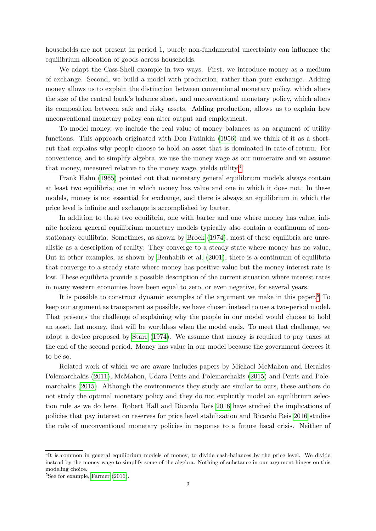households are not present in period 1, purely non-fundamental uncertainty can influence the equilibrium allocation of goods across households.

We adapt the Cass-Shell example in two ways. First, we introduce money as a medium of exchange. Second, we build a model with production, rather than pure exchange. Adding money allows us to explain the distinction between conventional monetary policy, which alters the size of the central bank's balance sheet, and unconventional monetary policy, which alters its composition between safe and risky assets. Adding production, allows us to explain how unconventional monetary policy can alter output and employment.

To model money, we include the real value of money balances as an argument of utility functions. This approach originated with Don Patinkin [\(1956\)](#page-27-5) and we think of it as a shortcut that explains why people choose to hold an asset that is dominated in rate-of-return. For convenience, and to simplify algebra, we use the money wage as our numeraire and we assume that money, measured relative to the money wage, yields utility.[4](#page-4-0)

Frank Hahn [\(1965\)](#page-26-8) pointed out that monetary general equilibrium models always contain at least two equilibria; one in which money has value and one in which it does not. In these models, money is not essential for exchange, and there is always an equilibrium in which the price level is infinite and exchange is accomplished by barter.

In addition to these two equilibria, one with barter and one where money has value, infinite horizon general equilibrium monetary models typically also contain a continuum of nonstationary equilibria. Sometimes, as shown by [Brock](#page-25-10) [\(1974\)](#page-25-10), most of these equilibria are unrealistic as a description of reality: They converge to a steady state where money has no value. But in other examples, as shown by [Benhabib et al.](#page-25-11) [\(2001\)](#page-25-11), there is a continuum of equilibria that converge to a steady state where money has positive value but the money interest rate is low. These equilibria provide a possible description of the current situation where interest rates in many western economies have been equal to zero, or even negative, for several years.

It is possible to construct dynamic examples of the argument we make in this paper.<sup>[5](#page-4-1)</sup> To keep our argument as transparent as possible, we have chosen instead to use a two-period model. That presents the challenge of explaining why the people in our model would choose to hold an asset, fiat money, that will be worthless when the model ends. To meet that challenge, we adopt a device proposed by [Starr](#page-27-6) [\(1974\)](#page-27-6). We assume that money is required to pay taxes at the end of the second period. Money has value in our model because the government decrees it to be so.

Related work of which we are aware includes papers by Michael McMahon and Herakles Polemarchakis [\(2011\)](#page-26-9), McMahon, Udara Peiris and Polemarchakis [\(2015\)](#page-26-10) and Peiris and Polemarchakis [\(2015\)](#page-27-7). Although the environments they study are similar to ours, these authors do not study the optimal monetary policy and they do not explicitly model an equilibrium selection rule as we do here. Robert Hall and Ricardo Reis [2016](#page-26-11) have studied the implications of policies that pay interest on reserves for price level stabilization and Ricardo Reis [2016](#page-27-8) studies the role of unconventional monetary policies in response to a future fiscal crisis. Neither of

<span id="page-4-0"></span><sup>&</sup>lt;sup>4</sup>It is common in general equilibrium models of money, to divide cash-balances by the price level. We divide instead by the money wage to simplify some of the algebra. Nothing of substance in our argument hinges on this modeling choice.

<span id="page-4-1"></span> ${}^{5}$ See for example, [Farmer](#page-26-12) [\(2016\)](#page-26-12).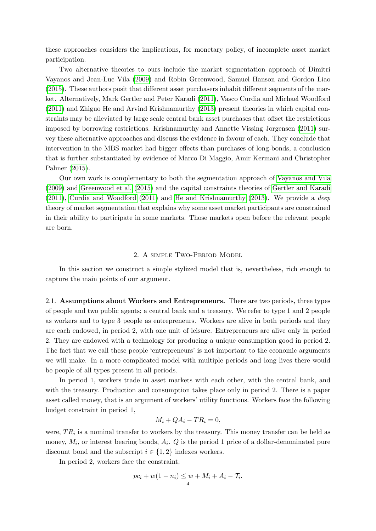these approaches considers the implications, for monetary policy, of incomplete asset market participation.

Two alternative theories to ours include the market segmentation approach of Dimitri Vayanos and Jean-Luc Vila [\(2009\)](#page-27-9) and Robin Greenwood, Samuel Hanson and Gordon Liao [\(2015\)](#page-26-13). These authors posit that different asset purchasers inhabit different segments of the market. Alternatively, Mark Gertler and Peter Karadi [\(2011\)](#page-26-14), Vasco Curdia and Michael Woodford [\(2011\)](#page-25-12) and Zhiguo He and Arvind Krishnamurthy [\(2013\)](#page-26-15) present theories in which capital constraints may be alleviated by large scale central bank asset purchases that offset the restrictions imposed by borrowing restrictions. Krishnamurthy and Annette Vissing Jorgensen [\(2011\)](#page-26-16) survey these alternative approaches and discuss the evidence in favour of each. They conclude that intervention in the MBS market had bigger effects than purchases of long-bonds, a conclusion that is further substantiated by evidence of Marco Di Maggio, Amir Kermani and Christopher Palmer [\(2015\)](#page-26-17).

Our own work is complementary to both the segmentation approach of [Vayanos and Vila](#page-27-9) [\(2009\)](#page-27-9) and [Greenwood et al.](#page-26-13) [\(2015\)](#page-26-13) and the capital constraints theories of [Gertler and Karadi](#page-26-14)  $(2011)$ , [Curdia and Woodford](#page-25-12)  $(2011)$  and [He and Krishnamurthy](#page-26-15)  $(2013)$ . We provide a *deep* theory of market segmentation that explains why some asset market participants are constrained in their ability to participate in some markets. Those markets open before the relevant people are born.

#### 2. A simple Two-Period Model

In this section we construct a simple stylized model that is, nevertheless, rich enough to capture the main points of our argument.

2.1. Assumptions about Workers and Entrepreneurs. There are two periods, three types of people and two public agents; a central bank and a treasury. We refer to type 1 and 2 people as workers and to type 3 people as entrepreneurs. Workers are alive in both periods and they are each endowed, in period 2, with one unit of leisure. Entrepreneurs are alive only in period 2. They are endowed with a technology for producing a unique consumption good in period 2. The fact that we call these people 'entrepreneurs' is not important to the economic arguments we will make. In a more complicated model with multiple periods and long lives there would be people of all types present in all periods.

In period 1, workers trade in asset markets with each other, with the central bank, and with the treasury. Production and consumption takes place only in period 2. There is a paper asset called money, that is an argument of workers' utility functions. Workers face the following budget constraint in period 1,

$$
M_i + QA_i - TR_i = 0,
$$

were,  $TR_i$  is a nominal transfer to workers by the treasury. This money transfer can be held as money,  $M_i$ , or interest bearing bonds,  $A_i$ . Q is the period 1 price of a dollar-denominated pure discount bond and the subscript  $i \in \{1,2\}$  indexes workers.

In period 2, workers face the constraint,

$$
pc_i + w(1 - n_i) \leq w + M_i + A_i - \mathcal{T}_i.
$$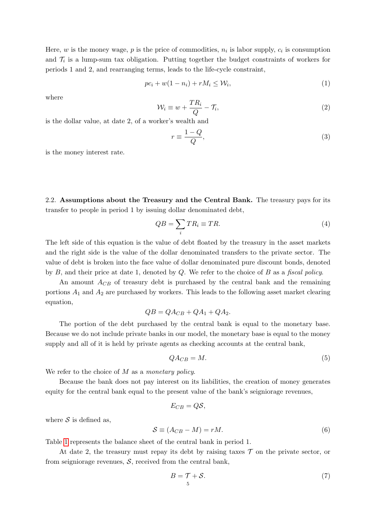Here,  $w$  is the money wage,  $p$  is the price of commodities,  $n_i$  is labor supply,  $c_i$  is consumption and  $\mathcal{T}_i$  is a lump-sum tax obligation. Putting together the budget constraints of workers for periods 1 and 2, and rearranging terms, leads to the life-cycle constraint,

<span id="page-6-3"></span>
$$
pc_i + w(1 - n_i) + rM_i \le \mathcal{W}_i,
$$
\n<sup>(1)</sup>

where

<span id="page-6-2"></span>
$$
\mathcal{W}_i \equiv w + \frac{T R_i}{Q} - \mathcal{T}_i,\tag{2}
$$

is the dollar value, at date 2, of a worker's wealth and

$$
r \equiv \frac{1 - Q}{Q},\tag{3}
$$

is the money interest rate.

2.2. Assumptions about the Treasury and the Central Bank. The treasury pays for its transfer to people in period 1 by issuing dollar denominated debt,

<span id="page-6-0"></span>
$$
QB = \sum_{i} TR_{i} \equiv TR. \tag{4}
$$

The left side of this equation is the value of debt floated by the treasury in the asset markets and the right side is the value of the dollar denominated transfers to the private sector. The value of debt is broken into the face value of dollar denominated pure discount bonds, denoted by  $B$ , and their price at date 1, denoted by  $Q$ . We refer to the choice of  $B$  as a *fiscal policy*.

An amount  $A_{CB}$  of treasury debt is purchased by the central bank and the remaining portions  $A_1$  and  $A_2$  are purchased by workers. This leads to the following asset market clearing equation,

$$
QB = QA_{CB} + QA_1 + QA_2.
$$

The portion of the debt purchased by the central bank is equal to the monetary base. Because we do not include private banks in our model, the monetary base is equal to the money supply and all of it is held by private agents as checking accounts at the central bank,

$$
QA_{CB} = M.\t\t(5)
$$

We refer to the choice of  $M$  as a monetary policy.

Because the bank does not pay interest on its liabilities, the creation of money generates equity for the central bank equal to the present value of the bank's seigniorage revenues,

$$
E_{CB}=Q\mathcal{S},
$$

where  $S$  is defined as,

$$
S \equiv (A_{CB} - M) = rM. \tag{6}
$$

Table [1](#page-7-0) represents the balance sheet of the central bank in period 1.

At date 2, the treasury must repay its debt by raising taxes  $\mathcal T$  on the private sector, or from seigniorage revenues,  $S$ , received from the central bank,

<span id="page-6-1"></span>
$$
B = \mathcal{T} + \mathcal{S}.\tag{7}
$$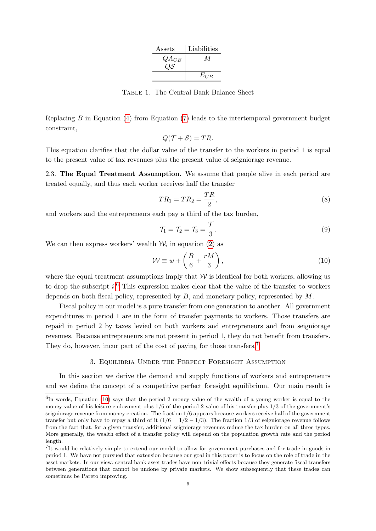| Assets    | Liabilities |
|-----------|-------------|
| $QA_{CB}$ |             |
|           |             |
|           | $E_{CB}$    |
|           |             |

Table 1. The Central Bank Balance Sheet

<span id="page-7-0"></span>Replacing  $B$  in Equation [\(4\)](#page-6-0) from Equation [\(7\)](#page-6-1) leads to the intertemporal government budget constraint,

$$
Q(\mathcal{T} + \mathcal{S}) = TR.
$$

This equation clarifies that the dollar value of the transfer to the workers in period 1 is equal to the present value of tax revenues plus the present value of seigniorage revenue.

2.3. The Equal Treatment Assumption. We assume that people alive in each period are treated equally, and thus each worker receives half the transfer

$$
TR_1 = TR_2 = \frac{TR}{2},\tag{8}
$$

and workers and the entrepreneurs each pay a third of the tax burden,

<span id="page-7-4"></span>
$$
\mathcal{T}_1 = \mathcal{T}_2 = \mathcal{T}_3 = \frac{\mathcal{T}}{3}.\tag{9}
$$

We can then express workers' wealth  $\mathcal{W}_i$  in equation [\(2\)](#page-6-2) as

<span id="page-7-3"></span>
$$
\mathcal{W} \equiv w + \left(\frac{B}{6} + \frac{rM}{3}\right),\tag{10}
$$

where the equal treatment assumptions imply that  $W$  is identical for both workers, allowing us to drop the subscript  $i$ .<sup>[6](#page-7-1)</sup> This expression makes clear that the value of the transfer to workers depends on both fiscal policy, represented by  $B$ , and monetary policy, represented by  $M$ .

Fiscal policy in our model is a pure transfer from one generation to another. All government expenditures in period 1 are in the form of transfer payments to workers. Those transfers are repaid in period 2 by taxes levied on both workers and entrepreneurs and from seigniorage revenues. Because entrepreneurs are not present in period 1, they do not benefit from transfers. They do, however, incur part of the cost of paying for those transfers.<sup>[7](#page-7-2)</sup>

## 3. Equilibria Under the Perfect Foresight Assumption

In this section we derive the demand and supply functions of workers and entrepreneurs and we define the concept of a competitive perfect foresight equilibrium. Our main result is

<span id="page-7-1"></span> ${}^{6}$ In words, Equation [\(10\)](#page-7-3) says that the period 2 money value of the wealth of a young worker is equal to the money value of his leisure endowment plus 1/6 of the period 2 value of his transfer plus 1/3 of the government's seigniorage revenue from money creation. The fraction 1/6 appears because workers receive half of the government transfer but only have to repay a third of it  $(1/6 = 1/2 - 1/3)$ . The fraction 1/3 of seigniorage revenue follows from the fact that, for a given transfer, additional seigniorage revenues reduce the tax burden on all three types. More generally, the wealth effect of a transfer policy will depend on the population growth rate and the period length.

<span id="page-7-2"></span><sup>&</sup>lt;sup>7</sup>It would be relatively simple to extend our model to allow for government purchases and for trade in goods in period 1. We have not pursued that extension because our goal in this paper is to focus on the role of trade in the asset markets. In our view, central bank asset trades have non-trivial effects because they generate fiscal transfers between generations that cannot be undone by private markets. We show subsequently that these trades can sometimes be Pareto improving.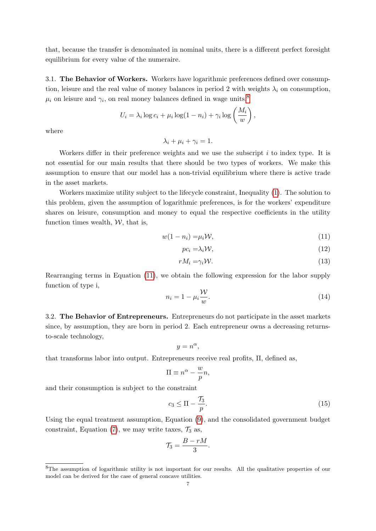that, because the transfer is denominated in nominal units, there is a different perfect foresight equilibrium for every value of the numeraire.

3.1. The Behavior of Workers. Workers have logarithmic preferences defined over consumption, leisure and the real value of money balances in period 2 with weights  $\lambda_i$  on consumption,  $\mu_i$  on leisure and  $\gamma_i$ , on real money balances defined in wage units,<sup>[8](#page-8-0)</sup>

$$
U_i = \lambda_i \log c_i + \mu_i \log (1 - n_i) + \gamma_i \log \left( \frac{M_i}{w} \right),
$$

where

$$
\lambda_i + \mu_i + \gamma_i = 1.
$$

Workers differ in their preference weights and we use the subscript  $i$  to index type. It is not essential for our main results that there should be two types of workers. We make this assumption to ensure that our model has a non-trivial equilibrium where there is active trade in the asset markets.

Workers maximize utility subject to the lifecycle constraint, Inequality [\(1\)](#page-6-3). The solution to this problem, given the assumption of logarithmic preferences, is for the workers' expenditure shares on leisure, consumption and money to equal the respective coefficients in the utility function times wealth,  $W$ , that is,

$$
w(1 - n_i) = \mu_i \mathcal{W},\tag{11}
$$

<span id="page-8-2"></span><span id="page-8-1"></span>
$$
pc_i = \lambda_i \mathcal{W},\tag{12}
$$

$$
rM_i = \gamma_i \mathcal{W}.\tag{13}
$$

Rearranging terms in Equation [\(11\)](#page-8-1), we obtain the following expression for the labor supply function of type i,

$$
n_i = 1 - \mu_i \frac{\mathcal{W}}{w}.\tag{14}
$$

3.2. The Behavior of Entrepreneurs. Entrepreneurs do not participate in the asset markets since, by assumption, they are born in period 2. Each entrepreneur owns a decreasing returnsto-scale technology,

$$
y = n^{\alpha},
$$

that transforms labor into output. Entrepreneurs receive real profits, Π, defined as,

$$
\Pi \equiv n^{\alpha} - \frac{w}{p}n,
$$

and their consumption is subject to the constraint

$$
c_3 \le \Pi - \frac{\tau_3}{p}.\tag{15}
$$

Using the equal treatment assumption, Equation [\(9\)](#page-7-4), and the consolidated government budget constraint, Equation [\(7\)](#page-6-1), we may write taxes,  $\mathcal{T}_3$  as,

$$
\mathcal{T}_3 = \frac{B - rM}{3}.
$$

<span id="page-8-0"></span><sup>8</sup>The assumption of logarithmic utility is not important for our results. All the qualitative properties of our model can be derived for the case of general concave utilities.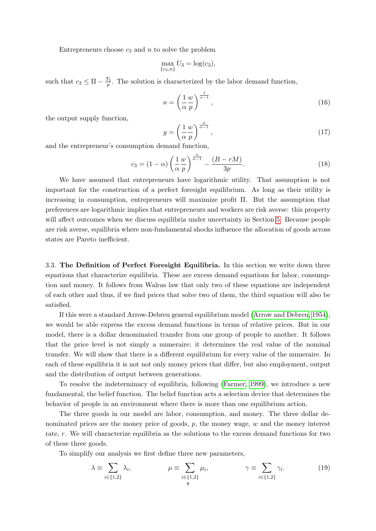Entrepreneurs choose  $c_3$  and n to solve the problem

$$
\max_{\{c_3,n\}} U_3 = \log(c_3),
$$

such that  $c_3 \leq \Pi - \frac{\tau_3}{p}$ . The solution is characterized by the labor demand function,

<span id="page-9-0"></span>
$$
n = \left(\frac{1}{\alpha} \frac{w}{p}\right)^{\frac{1}{\alpha - 1}},\tag{16}
$$

the output supply function,

$$
y = \left(\frac{1}{\alpha} \frac{w}{p}\right)^{\frac{\alpha}{\alpha - 1}},\tag{17}
$$

and the entrepreneur's consumption demand function,

<span id="page-9-1"></span>
$$
c_3 = (1 - \alpha) \left(\frac{1}{\alpha} \frac{w}{p}\right)^{\frac{\alpha}{\alpha - 1}} - \frac{(B - rM)}{3p}.
$$
 (18)

We have assumed that entrepreneurs have logarithmic utility. That assumption is not important for the construction of a perfect foresight equilibrium. As long as their utility is increasing in consumption, entrepreneurs will maximize profit Π. But the assumption that preferences are logarithmic implies that entrepreneurs and workers are risk averse: this property will affect outcomes when we discuss equilibria under uncertainty in Section [5.](#page-15-0) Because people are risk averse, equilibria where non-fundamental shocks influence the allocation of goods across states are Pareto inefficient.

3.3. The Definition of Perfect Foresight Equilibria. In this section we write down three equations that characterize equilibria. These are excess demand equations for labor, consumption and money. It follows from Walras law that only two of these equations are independent of each other and thus, if we find prices that solve two of them, the third equation will also be satisfied.

If this were a standard Arrow-Debreu general equilibrium model [\(Arrow and Debreu, 1954\)](#page-25-13), we would be able express the excess demand functions in terms of relative prices. But in our model, there is a dollar denominated transfer from one group of people to another. It follows that the price level is not simply a numeraire; it determines the real value of the nominal transfer. We will show that there is a different equilibrium for every value of the numeraire. In each of these equilibria it is not not only money prices that differ, but also employment, output and the distribution of output between generations.

To resolve the indeterminacy of equilibria, following [\(Farmer, 1999\)](#page-25-14), we introduce a new fundamental, the belief function. The belief function acts a selection device that determines the behavior of people in an environment where there is more than one equilibrium action.

The three goods in our model are labor, consumption, and money. The three dollar denominated prices are the money price of goods,  $p$ , the money wage,  $w$  and the money interest rate, r. We will characterize equilibria as the solutions to the excess demand functions for two of these three goods.

To simplify our analysis we first define three new parameters,

<span id="page-9-2"></span>
$$
\lambda \equiv \sum_{i \in \{1,2\}} \lambda_i, \qquad \mu \equiv \sum_{\substack{i \in \{1,2\} \\ 8}} \mu_i, \qquad \gamma \equiv \sum_{i \in \{1,2\}} \gamma_i. \tag{19}
$$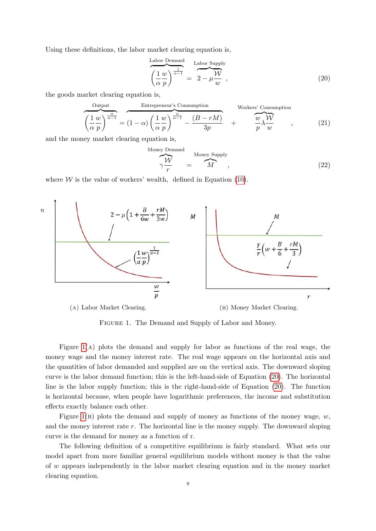Using these definitions, the labor market clearing equation is,

<span id="page-10-1"></span>
$$
\frac{\text{Labor Demand}}{\left(\frac{1}{\alpha} \frac{w}{p}\right)^{\frac{1}{\alpha-1}}} = \frac{\text{Labor Supply}}{2 - \mu \frac{W}{w}},\tag{20}
$$

the goods market clearing equation is,

<span id="page-10-2"></span>
$$
\underbrace{\left(\frac{1}{\alpha} \frac{w}{p}\right)^{\frac{\alpha}{\alpha-1}}}_{m} = \left(1 - \alpha\right) \left(\frac{1}{\alpha} \frac{w}{p}\right)^{\frac{\alpha}{\alpha-1}} - \frac{(B - rM)}{3p} + \underbrace{\frac{w}{w} \lambda \frac{W}{w}}_{p} ,\qquad(21)
$$

and the money market clearing equation is,

<span id="page-10-3"></span>
$$
\overbrace{\gamma \frac{\mathcal{W}}{r}}^{\text{Money Demand}} = \overbrace{M}^{\text{Money Supply}}, \tag{22}
$$

<span id="page-10-0"></span>where  $W$  is the value of workers' wealth, defined in Equation [\(10\)](#page-7-3).



FIGURE 1. The Demand and Supply of Labor and Money.

Figure [1\(](#page-10-0)a) plots the demand and supply for labor as functions of the real wage, the money wage and the money interest rate. The real wage appears on the horizontal axis and the quantities of labor demanded and supplied are on the vertical axis. The downward sloping curve is the labor demand function; this is the left-hand-side of Equation [\(20\)](#page-10-1). The horizontal line is the labor supply function; this is the right-hand-side of Equation [\(20\)](#page-10-1). The function is horizontal because, when people have logarithmic preferences, the income and substitution effects exactly balance each other.

Figure [1\(](#page-10-0)B) plots the demand and supply of money as functions of the money wage,  $w$ , and the money interest rate  $r$ . The horizontal line is the money supply. The downward sloping curve is the demand for money as a function of r.

The following definition of a competitive equilibrium is fairly standard. What sets our model apart from more familiar general equilibrium models without money is that the value of w appears independently in the labor market clearing equation and in the money market clearing equation.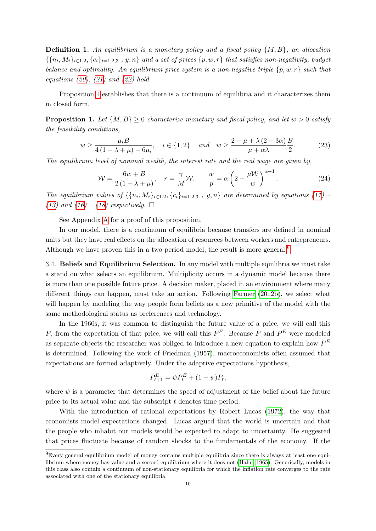**Definition 1.** An equilibrium is a monetary policy and a fiscal policy  $\{M, B\}$ , an allocation  $\{\{n_i, M_i\}_{i\in{1,2}}, \{c_i\}_{i=1,2,3}, y, n\}$  and a set of prices  $\{p, w, r\}$  that satisfies non-negativity, budget balance and optimality. An equilibrium price system is a non-negative triple  $\{p, w, r\}$  such that equations  $(20)$ ,  $(21)$  and  $(22)$  hold.

Proposition [1](#page-11-0) establishes that there is a continuum of equilibria and it characterizes them in closed form.

<span id="page-11-0"></span>**Proposition 1.** Let  $\{M, B\} \geq 0$  characterize monetary and fiscal policy, and let  $w > 0$  satisfy the feasibility conditions,

$$
w \ge \frac{\mu_i B}{4\left(1 + \lambda + \mu\right) - 6\mu_i}, \quad i \in \{1, 2\} \quad and \quad w \ge \frac{2 - \mu + \lambda\left(2 - 3\alpha\right)}{\mu + \alpha\lambda} \frac{B}{2}.\tag{23}
$$

The equilibrium level of nominal wealth, the interest rate and the real wage are given by,

<span id="page-11-2"></span>
$$
\mathcal{W} = \frac{6w + B}{2(1 + \lambda + \mu)}, \quad r = \frac{\gamma}{M} \mathcal{W}, \qquad \frac{w}{p} = \alpha \left(2 - \frac{\mu \mathcal{W}}{w}\right)^{\alpha - 1}.
$$
 (24)

The equilibrium values of  $\{\{n_i, M_i\}_{i\in 1,2}, \{c_i\}_{i=1,2,3}, y, n\}$  are determined by equations [\(11\)](#page-8-1) -[\(13\)](#page-8-2) and [\(16\)](#page-9-0) – [\(18\)](#page-9-1) respectively.  $\square$ 

See Appendix [A](#page-27-10) for a proof of this proposition.

In our model, there is a continuum of equilibria because transfers are defined in nominal units but they have real effects on the allocation of resources between workers and entrepreneurs. Although we have proven this in a two period model, the result is more general.<sup>[9](#page-11-1)</sup>

3.4. Beliefs and Equilibrium Selection. In any model with multiple equilibria we must take a stand on what selects an equilibrium. Multiplicity occurs in a dynamic model because there is more than one possible future price. A decision maker, placed in an environment where many different things can happen, must take an action. Following [Farmer](#page-25-15) [\(2012b\)](#page-25-15), we select what will happen by modeling the way people form beliefs as a new primitive of the model with the same methodological status as preferences and technology.

In the 1960s, it was common to distinguish the future value of a price, we will call this P, from the expectation of that price, we will call this  $P^E$ . Because P and  $P^E$  were modeled as separate objects the researcher was obliged to introduce a new equation to explain how  $P^E$ is determined. Following the work of Friedman [\(1957\)](#page-26-18), macroeconomists often assumed that expectations are formed adaptively. Under the adaptive expectations hypothesis,

$$
P_{t+1}^{E} = \psi P_t^{E} + (1 - \psi) P_t,
$$

where  $\psi$  is a parameter that determines the speed of adjustment of the belief about the future price to its actual value and the subscript t denotes time period.

With the introduction of rational expectations by Robert Lucas [\(1972\)](#page-26-19), the way that economists model expectations changed. Lucas argued that the world is uncertain and that the people who inhabit our models would be expected to adapt to uncertainty. He suggested that prices fluctuate because of random shocks to the fundamentals of the economy. If the

<span id="page-11-1"></span><sup>9</sup>Every general equilibrium model of money contains multiple equilibria since there is always at least one equilibrium where money has value and a second equilibrium where it does not [\(Hahn, 1965\)](#page-26-8). Generically, models in this class also contain a continuum of non-stationary equilibria for which the inflation rate converges to the rate associated with one of the stationary equilibria.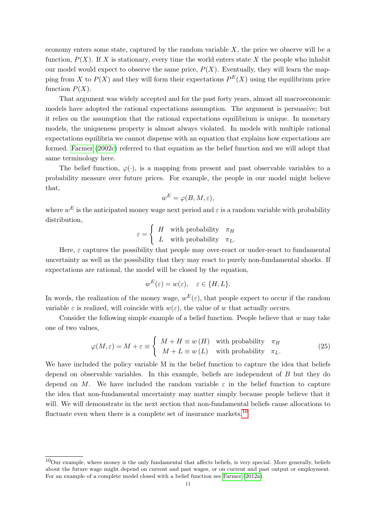economy enters some state, captured by the random variable  $X$ , the price we observe will be a function,  $P(X)$ . If X is stationary, every time the world enters state X the people who inhabit our model would expect to observe the same price,  $P(X)$ . Eventually, they will learn the mapping from X to  $P(X)$  and they will form their expectations  $P^{E}(X)$  using the equilibrium price function  $P(X)$ .

That argument was widely accepted and for the past forty years, almost all macroeconomic models have adopted the rational expectations assumption. The argument is persuasive; but it relies on the assumption that the rational expectations equilibrium is unique. In monetary models, the uniqueness property is almost always violated. In models with multiple rational expectations equilibria we cannot dispense with an equation that explains how expectations are formed. [Farmer](#page-25-16) [\(2002c\)](#page-25-16) referred to that equation as the belief function and we will adopt that same terminology here.

The belief function,  $\varphi(\cdot)$ , is a mapping from present and past observable variables to a probability measure over future prices. For example, the people in our model might believe that,

$$
w^E = \varphi(B, M, \varepsilon),
$$

where  $w^E$  is the anticipated money wage next period and  $\varepsilon$  is a random variable with probability distribution,

$$
\varepsilon = \begin{cases} H & \text{with probability} \quad \pi_H \\ L & \text{with probability} \quad \pi_L. \end{cases}
$$

Here,  $\varepsilon$  captures the possibility that people may over-react or under-react to fundamental uncertainty as well as the possibility that they may react to purely non-fundamental shocks. If expectations are rational, the model will be closed by the equation,

$$
w^E(\varepsilon) = w(\varepsilon), \quad \varepsilon \in \{H, L\}.
$$

In words, the realization of the money wage,  $w^{E}(\varepsilon)$ , that people expect to occur if the random variable  $\varepsilon$  is realized, will coincide with  $w(\varepsilon)$ , the value of w that actually occurs.

Consider the following simple example of a belief function. People believe that  $w$  may take one of two values,

<span id="page-12-1"></span>
$$
\varphi(M,\varepsilon) = M + \varepsilon \equiv \begin{cases} M + H \equiv w(H) & \text{with probability} \quad \pi_H \\ M + L \equiv w(L) & \text{with probability} \quad \pi_L. \end{cases} \tag{25}
$$

We have included the policy variable M in the belief function to capture the idea that beliefs depend on observable variables. In this example, beliefs are independent of  $B$  but they do depend on M. We have included the random variable  $\varepsilon$  in the belief function to capture the idea that non-fundamental uncertainty may matter simply because people believe that it will. We will demonstrate in the next section that non-fundamental beliefs cause allocations to fluctuate even when there is a complete set of insurance markets.<sup>[10](#page-12-0)</sup>

<span id="page-12-0"></span> $10$ Our example, where money is the only fundamental that affects beliefs, is very special. More generally, beliefs about the future wage might depend on current and past wages, or on current and past output or employment. For an example of a complete model closed with a belief function see [Farmer](#page-25-17) [\(2012a\)](#page-25-17).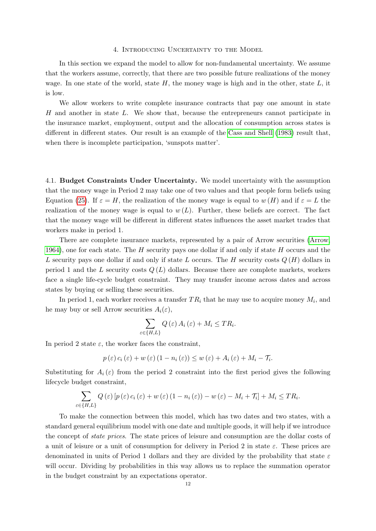#### 4. Introducing Uncertainty to the Model

In this section we expand the model to allow for non-fundamental uncertainty. We assume that the workers assume, correctly, that there are two possible future realizations of the money wage. In one state of the world, state  $H$ , the money wage is high and in the other, state  $L$ , it is low.

We allow workers to write complete insurance contracts that pay one amount in state H and another in state L. We show that, because the entrepreneurs cannot participate in the insurance market, employment, output and the allocation of consumption across states is different in different states. Our result is an example of the [Cass and Shell](#page-25-7) [\(1983\)](#page-25-7) result that, when there is incomplete participation, 'sunspots matter'.

4.1. Budget Constraints Under Uncertainty. We model uncertainty with the assumption that the money wage in Period 2 may take one of two values and that people form beliefs using Equation [\(25\)](#page-12-1). If  $\varepsilon = H$ , the realization of the money wage is equal to w  $(H)$  and if  $\varepsilon = L$  the realization of the money wage is equal to  $w(L)$ . Further, these beliefs are correct. The fact that the money wage will be different in different states influences the asset market trades that workers make in period 1.

There are complete insurance markets, represented by a pair of Arrow securities [\(Arrow,](#page-25-18) [1964\)](#page-25-18), one for each state. The  $H$  security pays one dollar if and only if state  $H$  occurs and the L security pays one dollar if and only if state L occurs. The H security costs  $Q(H)$  dollars in period 1 and the L security costs  $Q(L)$  dollars. Because there are complete markets, workers face a single life-cycle budget constraint. They may transfer income across dates and across states by buying or selling these securities.

In period 1, each worker receives a transfer  $TR_i$  that he may use to acquire money  $M_i$ , and he may buy or sell Arrow securities  $A_i(\varepsilon)$ ,

$$
\sum_{\varepsilon \in \{H, L\}} Q\left(\varepsilon\right) A_i\left(\varepsilon\right) + M_i \le T R_i.
$$

In period 2 state  $\varepsilon$ , the worker faces the constraint,

$$
p(\varepsilon) c_i(\varepsilon) + w(\varepsilon) (1 - n_i(\varepsilon)) \le w(\varepsilon) + A_i(\varepsilon) + M_i - \mathcal{T}_i.
$$

Substituting for  $A_i(\varepsilon)$  from the period 2 constraint into the first period gives the following lifecycle budget constraint,

$$
\sum_{\varepsilon \in \{H, L\}} Q(\varepsilon) \left[ p(\varepsilon) c_i(\varepsilon) + w(\varepsilon) (1 - n_i(\varepsilon)) - w(\varepsilon) - M_i + \mathcal{T}_i \right] + M_i \leq T R_i.
$$

To make the connection between this model, which has two dates and two states, with a standard general equilibrium model with one date and multiple goods, it will help if we introduce the concept of state prices. The state prices of leisure and consumption are the dollar costs of a unit of leisure or a unit of consumption for delivery in Period 2 in state  $\varepsilon$ . These prices are denominated in units of Period 1 dollars and they are divided by the probability that state  $\varepsilon$ will occur. Dividing by probabilities in this way allows us to replace the summation operator in the budget constraint by an expectations operator.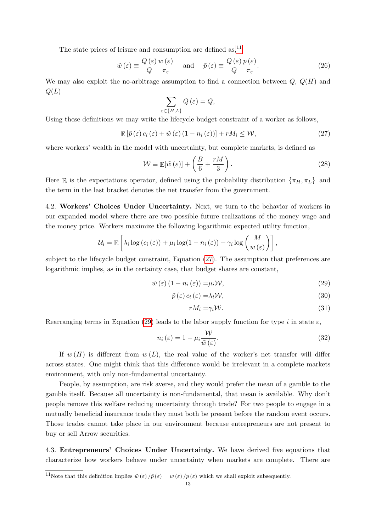The state prices of leisure and consumption are defined as,  $11$ 

<span id="page-14-5"></span>
$$
\tilde{w}(\varepsilon) \equiv \frac{Q(\varepsilon)}{Q} \frac{w(\varepsilon)}{\pi_{\varepsilon}} \quad \text{and} \quad \tilde{p}(\varepsilon) \equiv \frac{Q(\varepsilon)}{Q} \frac{p(\varepsilon)}{\pi_{\varepsilon}}.
$$
\n(26)

We may also exploit the no-arbitrage assumption to find a connection between  $Q, Q(H)$  and  $Q(L)$ 

$$
\sum_{\varepsilon \in \{H, L\}} Q\left(\varepsilon\right) = Q,
$$

Using these definitions we may write the lifecycle budget constraint of a worker as follows,

<span id="page-14-1"></span>
$$
\mathbb{E}\left[\tilde{p}\left(\varepsilon\right)c_{i}\left(\varepsilon\right)+\tilde{w}\left(\varepsilon\right)\left(1-n_{i}\left(\varepsilon\right)\right)\right]+rM_{i}\leq\mathcal{W},\tag{27}
$$

where workers' wealth in the model with uncertainty, but complete markets, is defined as

<span id="page-14-6"></span>
$$
\mathcal{W} \equiv \mathbb{E}[\tilde{w}(\varepsilon)] + \left(\frac{B}{6} + \frac{rM}{3}\right). \tag{28}
$$

Here E is the expectations operator, defined using the probability distribution  $\{\pi_H, \pi_L\}$  and the term in the last bracket denotes the net transfer from the government.

4.2. Workers' Choices Under Uncertainty. Next, we turn to the behavior of workers in our expanded model where there are two possible future realizations of the money wage and the money price. Workers maximize the following logarithmic expected utility function,

$$
\mathcal{U}_i = \mathbb{E}\left[\lambda_i \log\left(c_i\left(\varepsilon\right)\right) + \mu_i \log(1 - n_i\left(\varepsilon\right)) + \gamma_i \log\left(\frac{M}{w\left(\varepsilon\right)}\right)\right],
$$

subject to the lifecycle budget constraint, Equation [\(27\)](#page-14-1). The assumption that preferences are logarithmic implies, as in the certainty case, that budget shares are constant,

$$
\tilde{w}(\varepsilon) (1 - n_i(\varepsilon)) = \mu_i \mathcal{W},\tag{29}
$$

$$
\tilde{p}(\varepsilon) c_i(\varepsilon) = \lambda_i \mathcal{W},\tag{30}
$$

<span id="page-14-4"></span><span id="page-14-3"></span><span id="page-14-2"></span>
$$
rM_i = \gamma_i \mathcal{W}.\tag{31}
$$

Rearranging terms in Equation [\(29\)](#page-14-2) leads to the labor supply function for type i in state  $\varepsilon$ ,

$$
n_i(\varepsilon) = 1 - \mu_i \frac{\mathcal{W}}{\tilde{w}(\varepsilon)}.
$$
\n(32)

If  $w(H)$  is different from  $w(L)$ , the real value of the worker's net transfer will differ across states. One might think that this difference would be irrelevant in a complete markets environment, with only non-fundamental uncertainty.

People, by assumption, are risk averse, and they would prefer the mean of a gamble to the gamble itself. Because all uncertainty is non-fundamental, that mean is available. Why don't people remove this welfare reducing uncertainty through trade? For two people to engage in a mutually beneficial insurance trade they must both be present before the random event occurs. Those trades cannot take place in our environment because entrepreneurs are not present to buy or sell Arrow securities.

4.3. Entrepreneurs' Choices Under Uncertainty. We have derived five equations that characterize how workers behave under uncertainty when markets are complete. There are

<span id="page-14-0"></span> $11$ Note that this definition implies  $\tilde{w}(\varepsilon)/\tilde{p}(\varepsilon) = w(\varepsilon)/p(\varepsilon)$  which we shall exploit subsequently.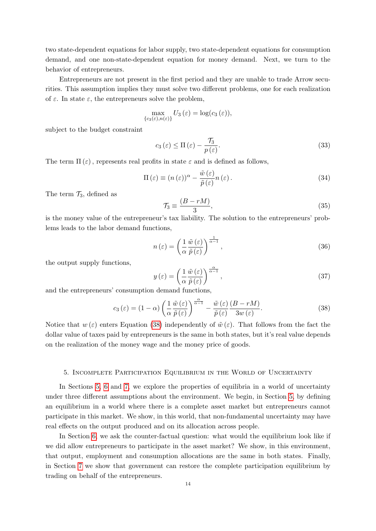two state-dependent equations for labor supply, two state-dependent equations for consumption demand, and one non-state-dependent equation for money demand. Next, we turn to the behavior of entrepreneurs.

Entrepreneurs are not present in the first period and they are unable to trade Arrow securities. This assumption implies they must solve two different problems, one for each realization of  $\varepsilon$ . In state  $\varepsilon$ , the entrepreneurs solve the problem,

$$
\max_{\{c_3(\varepsilon),n(\varepsilon)\}} U_3(\varepsilon) = \log(c_3(\varepsilon)),
$$

subject to the budget constraint

$$
c_3(\varepsilon) \le \Pi(\varepsilon) - \frac{\tau_3}{p(\varepsilon)}.\tag{33}
$$

The term  $\Pi(\varepsilon)$ , represents real profits in state  $\varepsilon$  and is defined as follows,

$$
\Pi(\varepsilon) \equiv (n(\varepsilon))^{\alpha} - \frac{\tilde{w}(\varepsilon)}{\tilde{p}(\varepsilon)} n(\varepsilon).
$$
\n(34)

The term  $\mathcal{T}_3$ , defined as

$$
\mathcal{T}_3 \equiv \frac{(B - rM)}{3},\tag{35}
$$

is the money value of the entrepreneur's tax liability. The solution to the entrepreneurs' problems leads to the labor demand functions,

<span id="page-15-3"></span>
$$
n\left(\varepsilon\right) = \left(\frac{1}{\alpha} \frac{\tilde{w}\left(\varepsilon\right)}{\tilde{p}\left(\varepsilon\right)}\right)^{\frac{1}{\alpha - 1}},\tag{36}
$$

the output supply functions,

<span id="page-15-2"></span>
$$
y\left(\varepsilon\right) = \left(\frac{1}{\alpha} \frac{\tilde{w}\left(\varepsilon\right)}{\tilde{p}\left(\varepsilon\right)}\right)^{\frac{\alpha}{\alpha-1}},\tag{37}
$$

and the entrepreneurs' consumption demand functions,

<span id="page-15-1"></span>
$$
c_3(\varepsilon) = (1 - \alpha) \left( \frac{1}{\alpha} \frac{\tilde{w}(\varepsilon)}{\tilde{p}(\varepsilon)} \right)^{\frac{\alpha}{\alpha - 1}} - \frac{\tilde{w}(\varepsilon)}{\tilde{p}(\varepsilon)} \frac{(B - rM)}{3w(\varepsilon)}.
$$
 (38)

Notice that  $w(\varepsilon)$  enters Equation [\(38\)](#page-15-1) independently of  $\tilde{w}(\varepsilon)$ . That follows from the fact the dollar value of taxes paid by entrepreneurs is the same in both states, but it's real value depends on the realization of the money wage and the money price of goods.

#### 5. Incomplete Participation Equilibrium in the World of Uncertainty

<span id="page-15-0"></span>In Sections [5,](#page-15-0) [6](#page-18-0) and [7,](#page-21-0) we explore the properties of equilibria in a world of uncertainty under three different assumptions about the environment. We begin, in Section [5,](#page-15-0) by defining an equilibrium in a world where there is a complete asset market but entrepreneurs cannot participate in this market. We show, in this world, that non-fundamental uncertainty may have real effects on the output produced and on its allocation across people.

In Section [6,](#page-18-0) we ask the counter-factual question: what would the equilibrium look like if we did allow entrepreneurs to participate in the asset market? We show, in this environment, that output, employment and consumption allocations are the same in both states. Finally, in Section [7](#page-21-0) we show that government can restore the complete participation equilibrium by trading on behalf of the entrepreneurs.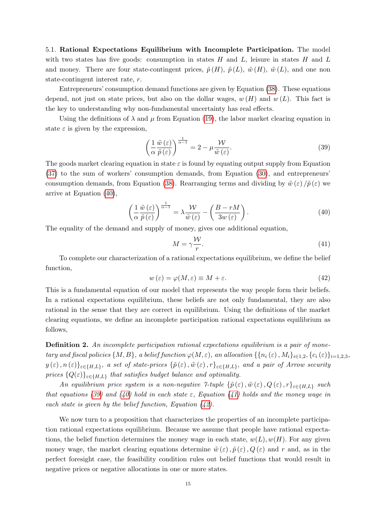5.1. Rational Expectations Equilibrium with Incomplete Participation. The model with two states has five goods: consumption in states  $H$  and  $L$ , leisure in states  $H$  and  $L$ and money. There are four state-contingent prices,  $\tilde{p}(H)$ ,  $\tilde{p}(L)$ ,  $\tilde{w}(H)$ ,  $\tilde{w}(L)$ , and one non state-contingent interest rate, r.

Entrepreneurs' consumption demand functions are given by Equation [\(38\)](#page-15-1). These equations depend, not just on state prices, but also on the dollar wages,  $w(H)$  and  $w(L)$ . This fact is the key to understanding why non-fundamental uncertainty has real effects.

Using the definitions of  $\lambda$  and  $\mu$  from Equation [\(19\)](#page-9-2), the labor market clearing equation in state  $\varepsilon$  is given by the expression,

<span id="page-16-1"></span>
$$
\left(\frac{1}{\alpha}\frac{\tilde{w}(\varepsilon)}{\tilde{p}(\varepsilon)}\right)^{\frac{1}{\alpha-1}} = 2 - \mu \frac{\mathcal{W}}{\tilde{w}(\varepsilon)}.
$$
\n(39)

The goods market clearing equation in state  $\varepsilon$  is found by equating output supply from Equation [\(37\)](#page-15-2) to the sum of workers' consumption demands, from Equation [\(30\)](#page-14-3), and entrepreneurs' consumption demands, from Equation [\(38\)](#page-15-1). Rearranging terms and dividing by  $\tilde{w}(\varepsilon)/\tilde{p}(\varepsilon)$  we arrive at Equation [\(40\)](#page-16-0),

<span id="page-16-0"></span>
$$
\left(\frac{1}{\alpha}\frac{\tilde{w}(\varepsilon)}{\tilde{p}(\varepsilon)}\right)^{\frac{1}{\alpha-1}} = \lambda \frac{\mathcal{W}}{\tilde{w}(\varepsilon)} - \left(\frac{B - rM}{3w(\varepsilon)}\right). \tag{40}
$$

The equality of the demand and supply of money, gives one additional equation,

<span id="page-16-2"></span>
$$
M = \gamma \frac{\mathcal{W}}{r}.\tag{41}
$$

To complete our characterization of a rational expectations equilibrium, we define the belief function,

<span id="page-16-3"></span>
$$
w(\varepsilon) = \varphi(M, \varepsilon) \equiv M + \varepsilon. \tag{42}
$$

This is a fundamental equation of our model that represents the way people form their beliefs. In a rational expectations equilibrium, these beliefs are not only fundamental, they are also rational in the sense that they are correct in equilibrium. Using the definitions of the market clearing equations, we define an incomplete participation rational expectations equilibrium as follows,

Definition 2. An incomplete participation rational expectations equilibrium is a pair of monetary and fiscal policies  $\{M, B\}$ , a belief function  $\varphi(M, \varepsilon)$ , an allocation  $\{\{n_i(\varepsilon), M_i\}_{i\in 1,2}, \{c_i(\varepsilon)\}_{i=1,2,3},\}$  $y(\varepsilon),n(\varepsilon)\}_{\varepsilon\in\{H,L\}},$  a set of state-prices  $\{\tilde{p}(\varepsilon),\tilde{w}(\varepsilon),r\}_{\varepsilon\in\{H,L\}},$  and a pair of Arrow security prices  ${Q(\varepsilon)}_{\varepsilon \in {H,L}}$  that satisfies budget balance and optimality.

An equilibrium price system is a non-negative 7-tuple  $\{\tilde{p}(\varepsilon), \tilde{w}(\varepsilon), Q(\varepsilon), r\}_{\varepsilon \in \{H,L\}}$  such that equations [\(39\)](#page-16-1) and [\(40\)](#page-16-0) hold in each state  $\varepsilon$ , Equation [\(41\)](#page-16-2) holds and the money wage in each state is given by the belief function, Equation  $(42)$ .

We now turn to a proposition that characterizes the properties of an incomplete participation rational expectations equilibrium. Because we assume that people have rational expectations, the belief function determines the money wage in each state,  $w(L), w(H)$ . For any given money wage, the market clearing equations determine  $\tilde{w}(\varepsilon)$ ,  $\tilde{p}(\varepsilon)$ ,  $Q(\varepsilon)$  and r and, as in the perfect foresight case, the feasibility condition rules out belief functions that would result in negative prices or negative allocations in one or more states.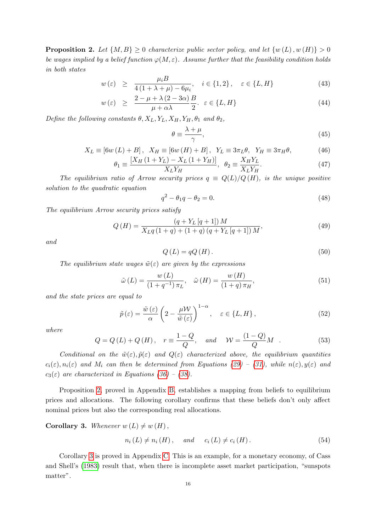<span id="page-17-0"></span>**Proposition 2.** Let  $\{M, B\} \geq 0$  characterize public sector policy, and let  $\{w(L), w(H)\} > 0$ be wages implied by a belief function  $\varphi(M,\varepsilon)$ . Assume further that the feasibility condition holds in both states

<span id="page-17-8"></span>
$$
w(\varepsilon) \ge \frac{\mu_i B}{4(1 + \lambda + \mu) - 6\mu_i}, \quad i \in \{1, 2\}, \quad \varepsilon \in \{L, H\}
$$
 (43)

$$
w(\varepsilon) \geq \frac{2 - \mu + \lambda (2 - 3\alpha)}{\mu + \alpha \lambda} \frac{B}{2}, \varepsilon \in \{L, H\}
$$
\n
$$
(44)
$$

Define the following constants  $\theta$ ,  $X_L$ ,  $Y_L$ ,  $X_H$ ,  $Y_H$ ,  $\theta_1$  and  $\theta_2$ ,

$$
\theta \equiv \frac{\lambda + \mu}{\gamma},\tag{45}
$$

$$
X_L \equiv [6w(L) + B], \quad X_H \equiv [6w(H) + B], \quad Y_L \equiv 3\pi_L \theta, \quad Y_H \equiv 3\pi_H \theta,\tag{46}
$$

$$
\theta_1 \equiv \frac{[X_H (1 + Y_L) - X_L (1 + Y_H)]}{X_L Y_H}, \ \theta_2 \equiv \frac{X_H Y_L}{X_L Y_H}.
$$
\n(47)

The equilibrium ratio of Arrow security prices  $q \equiv Q(L)/Q(H)$ , is the unique positive solution to the quadratic equation

<span id="page-17-2"></span>
$$
q^2 - \theta_1 q - \theta_2 = 0. \tag{48}
$$

The equilibrium Arrow security prices satisfy

<span id="page-17-3"></span>
$$
Q(H) = \frac{(q + Y_L [q + 1]) M}{X_L q (1 + q) + (1 + q) (q + Y_L [q + 1]) M},
$$
\n(49)

and

<span id="page-17-4"></span>
$$
Q(L) = qQ(H). \tag{50}
$$

The equilibrium state wages  $\tilde{w}(\varepsilon)$  are given by the expressions

<span id="page-17-5"></span>
$$
\tilde{\omega}(L) = \frac{w(L)}{(1+q^{-1})\pi_L}, \quad \tilde{\omega}(H) = \frac{w(H)}{(1+q)\pi_H},\tag{51}
$$

and the state prices are equal to

<span id="page-17-6"></span>
$$
\tilde{p}(\varepsilon) = \frac{\tilde{w}(\varepsilon)}{\alpha} \left( 2 - \frac{\mu \mathcal{W}}{\tilde{w}(\varepsilon)} \right)^{1-\alpha}, \quad \varepsilon \in \{L, H\},\tag{52}
$$

where

<span id="page-17-7"></span>
$$
Q = Q(L) + Q(H), \quad r \equiv \frac{1 - Q}{Q}, \quad and \quad \mathcal{W} = \frac{(1 - Q)}{Q}M \quad . \tag{53}
$$

Conditional on the  $\tilde{w}(\varepsilon), \tilde{p}(\varepsilon)$  and  $Q(\varepsilon)$  characterized above, the equilibrium quantities  $c_i(\varepsilon), n_i(\varepsilon)$  and  $M_i$  can then be determined from Equations [\(29\)](#page-14-2) – [\(31\)](#page-14-4), while  $n(\varepsilon), y(\varepsilon)$  and  $c_3(\varepsilon)$  are characterized in Equations [\(36\)](#page-15-3) – [\(38\)](#page-15-1).

Proposition [2,](#page-17-0) proved in Appendix [B,](#page-28-0) establishes a mapping from beliefs to equilibrium prices and allocations. The following corollary confirms that these beliefs don't only affect nominal prices but also the corresponding real allocations.

<span id="page-17-1"></span>**Corollary 3.** Whenever  $w(L) \neq w(H)$ ,

<span id="page-17-9"></span>
$$
n_i(L) \neq n_i(H), \quad \text{and} \quad c_i(L) \neq c_i(H). \tag{54}
$$

Corollary [3](#page-17-1) is proved in Appendix [C.](#page-29-0) This is an example, for a monetary economy, of Cass and Shell's [\(1983\)](#page-25-7) result that, when there is incomplete asset market participation, "sunspots matter".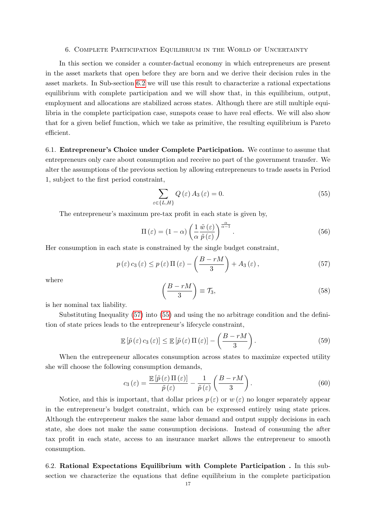#### 6. Complete Participation Equilibrium in the World of Uncertainty

<span id="page-18-0"></span>In this section we consider a counter-factual economy in which entrepreneurs are present in the asset markets that open before they are born and we derive their decision rules in the asset markets. In Sub-section [6.2](#page-18-1) we will use this result to characterize a rational expectations equilibrium with complete participation and we will show that, in this equilibrium, output, employment and allocations are stabilized across states. Although there are still multiple equilibria in the complete participation case, sunspots cease to have real effects. We will also show that for a given belief function, which we take as primitive, the resulting equilibrium is Pareto efficient.

6.1. Entrepreneur's Choice under Complete Participation. We continue to assume that entrepreneurs only care about consumption and receive no part of the government transfer. We alter the assumptions of the previous section by allowing entrepreneurs to trade assets in Period 1, subject to the first period constraint,

<span id="page-18-3"></span>
$$
\sum_{\varepsilon \in \{L, H\}} Q\left(\varepsilon\right) A_3\left(\varepsilon\right) = 0. \tag{55}
$$

The entrepreneur's maximum pre-tax profit in each state is given by,

$$
\Pi(\varepsilon) = (1 - \alpha) \left( \frac{1}{\alpha} \frac{\tilde{w}(\varepsilon)}{\tilde{p}(\varepsilon)} \right)^{\frac{\alpha}{\alpha - 1}}.
$$
\n(56)

Her consumption in each state is constrained by the single budget constraint,

<span id="page-18-2"></span>
$$
p(\varepsilon) c_3(\varepsilon) \le p(\varepsilon) \Pi(\varepsilon) - \left(\frac{B - rM}{3}\right) + A_3(\varepsilon), \tag{57}
$$

where

$$
\left(\frac{B-rM}{3}\right) \equiv \mathcal{T}_3,\tag{58}
$$

is her nominal tax liability.

Substituting Inequality [\(57\)](#page-18-2) into [\(55\)](#page-18-3) and using the no arbitrage condition and the definition of state prices leads to the entrepreneur's lifecycle constraint,

$$
\mathbb{E}\left[\tilde{p}\left(\varepsilon\right)c_3\left(\varepsilon\right)\right] \leq \mathbb{E}\left[\tilde{p}\left(\varepsilon\right)\Pi\left(\varepsilon\right)\right] - \left(\frac{B - rM}{3}\right). \tag{59}
$$

When the entrepreneur allocates consumption across states to maximize expected utility she will choose the following consumption demands,

<span id="page-18-4"></span>
$$
c_3(\varepsilon) = \frac{\mathbb{E}\left[\tilde{p}(\varepsilon)\Pi(\varepsilon)\right]}{\tilde{p}(\varepsilon)} - \frac{1}{\tilde{p}(\varepsilon)}\left(\frac{B - rM}{3}\right). \tag{60}
$$

Notice, and this is important, that dollar prices  $p(\varepsilon)$  or  $w(\varepsilon)$  no longer separately appear in the entrepreneur's budget constraint, which can be expressed entirely using state prices. Although the entrepreneur makes the same labor demand and output supply decisions in each state, she does not make the same consumption decisions. Instead of consuming the after tax profit in each state, access to an insurance market allows the entrepreneur to smooth consumption.

<span id="page-18-1"></span>6.2. Rational Expectations Equilibrium with Complete Participation . In this subsection we characterize the equations that define equilibrium in the complete participation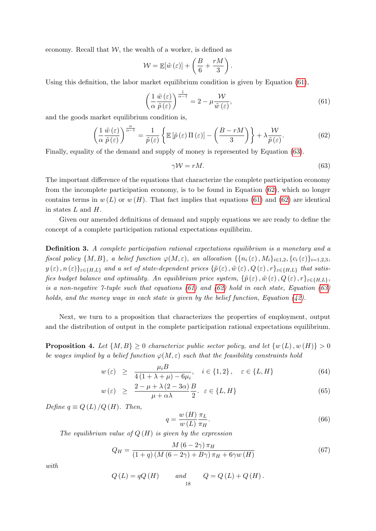economy. Recall that  $W$ , the wealth of a worker, is defined as

$$
\mathcal{W} = \mathbb{E}[\tilde{w}(\varepsilon)] + \left(\frac{B}{6} + \frac{rM}{3}\right).
$$

Using this definition, the labor market equilibrium condition is given by Equation [\(61\)](#page-19-0),

<span id="page-19-0"></span>
$$
\left(\frac{1}{\alpha}\frac{\tilde{w}(\varepsilon)}{\tilde{p}(\varepsilon)}\right)^{\frac{1}{\alpha-1}} = 2 - \mu \frac{\mathcal{W}}{\tilde{w}(\varepsilon)},\tag{61}
$$

and the goods market equilibrium condition is,

<span id="page-19-2"></span>
$$
\left(\frac{1}{\alpha}\frac{\tilde{w}(\varepsilon)}{\tilde{p}(\varepsilon)}\right)^{\frac{\alpha}{\alpha-1}} = \frac{1}{\tilde{p}(\varepsilon)}\left\{\mathbb{E}\left[\tilde{p}(\varepsilon)\Pi(\varepsilon)\right] - \left(\frac{B-rM}{3}\right)\right\} + \lambda \frac{\mathcal{W}}{\tilde{p}(\varepsilon)}.
$$
\n(62)

Finally, equality of the demand and supply of money is represented by Equation [\(63\)](#page-19-1).

<span id="page-19-1"></span>
$$
\gamma \mathcal{W} = rM. \tag{63}
$$

The important difference of the equations that characterize the complete participation economy from the incomplete participation economy, is to be found in Equation [\(62\)](#page-19-2), which no longer contains terms in  $w(L)$  or  $w(H)$ . That fact implies that equations [\(61\)](#page-19-0) and [\(62\)](#page-19-2) are identical in states L and H.

Given our amended definitions of demand and supply equations we are ready to define the concept of a complete participation rational expectations equilibrim.

Definition 3. A complete participation rational expectations equilibrium is a monetary and a fiscal policy  $\{M, B\}$ , a belief function  $\varphi(M, \varepsilon)$ , an allocation  $\{\{n_i(\varepsilon), M_i\}_{i\in 1,2}, \{c_i(\varepsilon)\}_{i=1,2,3},\}$  $y(\varepsilon),n(\varepsilon)\}_{\varepsilon\in\{H,L\}}$  and a set of state-dependent prices  $\{\tilde{p}(\varepsilon),\tilde{w}(\varepsilon),Q(\varepsilon),r\}_{\varepsilon\in\{H,L\}}$  that satisfies budget balance and optimality. An equilibrium price system,  $\{\tilde{p}(\varepsilon), \tilde{w}(\varepsilon), Q(\varepsilon), r\}_{\varepsilon \in \{H,L\}},$ is a non-negative 7-tuple such that equations  $(61)$  and  $(62)$  hold in each state, Equation  $(63)$ holds, and the money wage in each state is given by the belief function, Equation [\(42\)](#page-16-3).

Next, we turn to a proposition that characterizes the properties of employment, output and the distribution of output in the complete participation rational expectations equilibrium.

<span id="page-19-3"></span>**Proposition 4.** Let  $\{M, B\} \geq 0$  characterize public sector policy, and let  $\{w(L), w(H)\} > 0$ be wages implied by a belief function  $\varphi(M, \varepsilon)$  such that the feasibility constraints hold

<span id="page-19-6"></span>
$$
w(\varepsilon) \ge \frac{\mu_i B}{4(1 + \lambda + \mu) - 6\mu_i}, \quad i \in \{1, 2\}, \quad \varepsilon \in \{L, H\}
$$
 (64)

$$
w(\varepsilon) \geq \frac{2 - \mu + \lambda (2 - 3\alpha)}{\mu + \alpha \lambda} \frac{B}{2}, \varepsilon \in \{L, H\}
$$
\n
$$
(65)
$$

Define  $q \equiv Q(L)/Q(H)$ . Then,

<span id="page-19-4"></span>
$$
q = \frac{w(H)}{w(L)} \frac{\pi_L}{\pi_H}.
$$
\n
$$
(66)
$$

The equilibrium value of  $Q(H)$  is given by the expression

<span id="page-19-5"></span>
$$
Q_H = \frac{M (6 - 2\gamma) \pi_H}{(1 + q) (M (6 - 2\gamma) + B\gamma) \pi_H + 6\gamma w (H)}
$$
(67)

with

$$
Q(L) = qQ(H) \qquad and \qquad Q = Q(L) + Q(H).
$$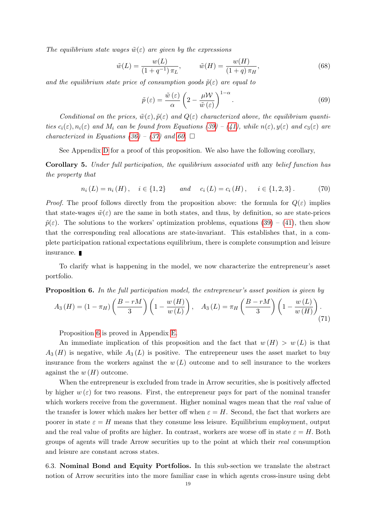The equilibrium state wages  $\tilde{w}(\varepsilon)$  are given by the expressions

<span id="page-20-1"></span>
$$
\tilde{w}(L) = \frac{w(L)}{(1+q^{-1})\pi_L}, \qquad \tilde{w}(H) = \frac{w(H)}{(1+q)\pi_H}, \tag{68}
$$

and the equilibrium state price of consumption goods  $\tilde{p}(\varepsilon)$  are equal to

<span id="page-20-2"></span>
$$
\tilde{p}(\varepsilon) = \frac{\tilde{w}(\varepsilon)}{\alpha} \left( 2 - \frac{\mu \mathcal{W}}{\tilde{w}(\varepsilon)} \right)^{1-\alpha}.
$$
\n(69)

Conditional on the prices,  $\tilde{w}(\varepsilon), \tilde{p}(\varepsilon)$  and  $Q(\varepsilon)$  characterized above, the equilibrium quantities  $c_i(\varepsilon)$ ,  $n_i(\varepsilon)$  and  $M_i$  can be found from Equations [\(39\)](#page-16-1) – [\(41\)](#page-16-2), while  $n(\varepsilon)$ ,  $y(\varepsilon)$  and  $c_3(\varepsilon)$  are characterized in Equations [\(36\)](#page-15-3) – [\(37\)](#page-15-2) and [60.](#page-18-4)  $\Box$ 

See Appendix [D](#page-30-0) for a proof of this proposition. We also have the following corollary,

Corollary 5. Under full participation, the equilibrium associated with any belief function has the property that

$$
n_i(L) = n_i(H), \quad i \in \{1,2\} \quad and \quad c_i(L) = c_i(H), \quad i \in \{1,2,3\}.
$$
 (70)

*Proof.* The proof follows directly from the proposition above: the formula for  $Q(\varepsilon)$  implies that state-wages  $\tilde{w}(\varepsilon)$  are the same in both states, and thus, by definition, so are state-prices  $\tilde{p}(\varepsilon)$ . The solutions to the workers' optimization problems, equations [\(39\)](#page-16-1) – [\(41\)](#page-16-2), then show that the corresponding real allocations are state-invariant. This establishes that, in a complete participation rational expectations equilibrium, there is complete consumption and leisure insurance.

To clarify what is happening in the model, we now characterize the entrepreneur's asset portfolio.

<span id="page-20-0"></span>**Proposition 6.** In the full participation model, the entrepreneur's asset position is given by

$$
A_3(H) = (1 - \pi_H) \left( \frac{B - rM}{3} \right) \left( 1 - \frac{w(H)}{w(L)} \right), \quad A_3(L) = \pi_H \left( \frac{B - rM}{3} \right) \left( 1 - \frac{w(L)}{w(H)} \right). \tag{71}
$$

Proposition [6](#page-20-0) is proved in Appendix [E.](#page-31-0)

An immediate implication of this proposition and the fact that  $w(H) > w(L)$  is that  $A_3(H)$  is negative, while  $A_3(L)$  is positive. The entrepreneur uses the asset market to buy insurance from the workers against the  $w(L)$  outcome and to sell insurance to the workers against the  $w(H)$  outcome.

When the entrepreneur is excluded from trade in Arrow securities, she is positively affected by higher  $w(\varepsilon)$  for two reasons. First, the entrepreneur pays for part of the nominal transfer which workers receive from the government. Higher nominal wages mean that the real value of the transfer is lower which makes her better off when  $\varepsilon = H$ . Second, the fact that workers are poorer in state  $\varepsilon = H$  means that they consume less leisure. Equilibrium employment, output and the real value of profits are higher. In contrast, workers are worse off in state  $\varepsilon = H$ . Both groups of agents will trade Arrow securities up to the point at which their real consumption and leisure are constant across states.

6.3. Nominal Bond and Equity Portfolios. In this sub-section we translate the abstract notion of Arrow securities into the more familiar case in which agents cross-insure using debt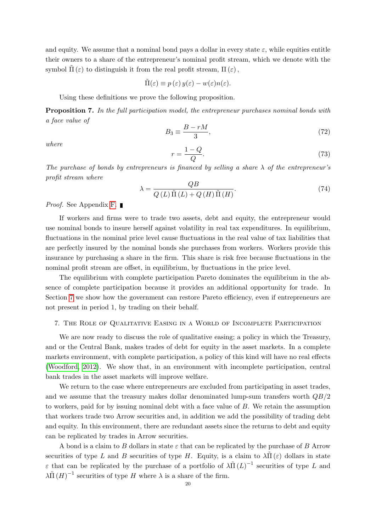and equity. We assume that a nominal bond pays a dollar in every state  $\varepsilon$ , while equities entitle their owners to a share of the entrepreneur's nominal profit stream, which we denote with the symbol  $\tilde{\Pi}(\varepsilon)$  to distinguish it from the real profit stream,  $\Pi(\varepsilon)$ ,

$$
\tilde{\Pi}(\varepsilon) \equiv p(\varepsilon) y(\varepsilon) - w(\varepsilon) n(\varepsilon).
$$

Using these definitions we prove the following proposition.

<span id="page-21-1"></span>**Proposition 7.** In the full participation model, the entrepreneur purchases nominal bonds with a face value of

$$
B_3 \equiv \frac{B - rM}{3},\tag{72}
$$

where

$$
r = \frac{1 - Q}{Q}.\tag{73}
$$

The purchase of bonds by entrepreneurs is financed by selling a share  $\lambda$  of the entrepreneur's profit stream where

$$
\lambda = \frac{QB}{Q\left(L\right)\tilde{\Pi}\left(L\right) + Q\left(H\right)\tilde{\Pi}\left(H\right)}.\tag{74}
$$

*Proof.* See Appendix [F.](#page-31-1)

If workers and firms were to trade two assets, debt and equity, the entrepreneur would use nominal bonds to insure herself against volatility in real tax expenditures. In equilibrium, fluctuations in the nominal price level cause fluctuations in the real value of tax liabilities that are perfectly insured by the nominal bonds she purchases from workers. Workers provide this insurance by purchasing a share in the firm. This share is risk free because fluctuations in the nominal profit stream are offset, in equilibrium, by fluctuations in the price level.

The equilibrium with complete participation Pareto dominates the equilibrium in the absence of complete participation because it provides an additional opportunity for trade. In Section [7](#page-21-0) we show how the government can restore Pareto efficiency, even if entrepreneurs are not present in period 1, by trading on their behalf.

#### <span id="page-21-0"></span>7. The Role of Qualitative Easing in a World of Incomplete Participation

We are now ready to discuss the role of qualitative easing; a policy in which the Treasury, and or the Central Bank, makes trades of debt for equity in the asset markets. In a complete markets environment, with complete participation, a policy of this kind will have no real effects [\(Woodford, 2012\)](#page-27-0). We show that, in an environment with incomplete participation, central bank trades in the asset markets will improve welfare.

We return to the case where entrepreneurs are excluded from participating in asset trades, and we assume that the treasury makes dollar denominated lump-sum transfers worth  $QB/2$ to workers, paid for by issuing nominal debt with a face value of B. We retain the assumption that workers trade two Arrow securities and, in addition we add the possibility of trading debt and equity. In this environment, there are redundant assets since the returns to debt and equity can be replicated by trades in Arrow securities.

A bond is a claim to B dollars in state  $\varepsilon$  that can be replicated by the purchase of B Arrow securities of type L and B securities of type H. Equity, is a claim to  $\lambda \tilde{\Pi}(\varepsilon)$  dollars in state  $\varepsilon$  that can be replicated by the purchase of a portfolio of  $\lambda \tilde{\Pi}(L)^{-1}$  securities of type L and  $\lambda \tilde{\Pi} (H)^{-1}$  securities of type H where  $\lambda$  is a share of the firm.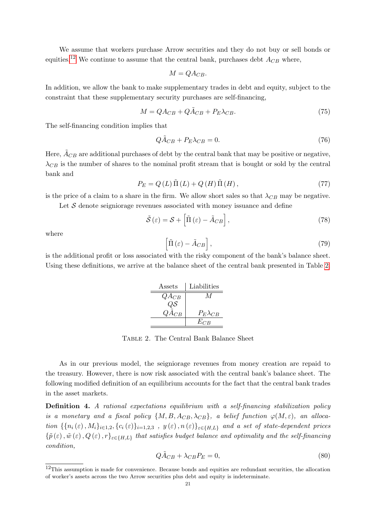We assume that workers purchase Arrow securities and they do not buy or sell bonds or equities.<sup>[12](#page-22-0)</sup> We continue to assume that the central bank, purchases debt  $A_{CB}$  where,

$$
M = QA_{CB}.
$$

In addition, we allow the bank to make supplementary trades in debt and equity, subject to the constraint that these supplementary security purchases are self-financing,

$$
M = QA_{CB} + Q\tilde{A}_{CB} + P_E\lambda_{CB}.
$$
\n(75)

The self-financing condition implies that

$$
Q\tilde{A}_{CB} + P_E \lambda_{CB} = 0. \tag{76}
$$

Here,  $A_{CB}$  are additional purchases of debt by the central bank that may be positive or negative,  $\lambda_{CB}$  is the number of shares to the nominal profit stream that is bought or sold by the central bank and

$$
P_E = Q(L)\tilde{\Pi}(L) + Q(H)\tilde{\Pi}(H),\tag{77}
$$

is the price of a claim to a share in the firm. We allow short sales so that  $\lambda_{CB}$  may be negative.

Let  $S$  denote seigniorage revenues associated with money issuance and define

$$
\tilde{\mathcal{S}}\left(\varepsilon\right) = \mathcal{S} + \left[\tilde{\Pi}\left(\varepsilon\right) - \tilde{A}_{CB}\right],\tag{78}
$$

where

$$
\left[\tilde{\Pi}\left(\varepsilon\right) - \tilde{A}_{CB}\right],\tag{79}
$$

<span id="page-22-1"></span>is the additional profit or loss associated with the risky component of the bank's balance sheet. Using these definitions, we arrive at the balance sheet of the central bank presented in Table [2.](#page-22-1)

| Assets          | Liabilities       |
|-----------------|-------------------|
| $QA_{CB}$       | $\overline{M}$    |
| QS              |                   |
| $Q\bar{A}_{CB}$ | $P_E\lambda_{CB}$ |
|                 | $E_{CB}$          |

Table 2. The Central Bank Balance Sheet

As in our previous model, the seigniorage revenues from money creation are repaid to the treasury. However, there is now risk associated with the central bank's balance sheet. The following modified definition of an equilibrium accounts for the fact that the central bank trades in the asset markets.

Definition 4. A rational expectations equilibrium with a self-financing stabilization policy is a monetary and a fiscal policy  $\{M, B, A_{CB}, \lambda_{CB}\}\$ , a belief function  $\varphi(M, \varepsilon)$ , an allocation  $\{\{n_i(\varepsilon), M_i\}_{i\in 1,2}, \{c_i(\varepsilon)\}_{i=1,2,3}, y(\varepsilon), n(\varepsilon)\}_{\varepsilon \in \{H,L\}}$  and a set of state-dependent prices  $\{\tilde{p}(\varepsilon),\tilde{w}(\varepsilon),Q(\varepsilon),r\}_{\varepsilon\in\{H,L\}}$  that satisfies budget balance and optimality and the self-financing condition,

$$
Q\tilde{A}_{CB} + \lambda_{CB}P_E = 0,\t\t(80)
$$

<span id="page-22-0"></span><sup>&</sup>lt;sup>12</sup>This assumption is made for convenience. Because bonds and equities are redundant securities, the allocation of worker's assets across the two Arrow securities plus debt and equity is indeterminate.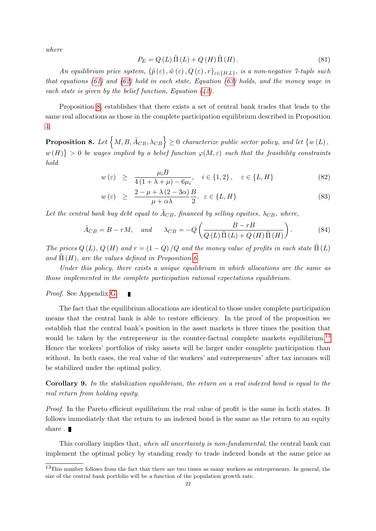where

$$
P_E = Q(L)\tilde{\Pi}(L) + Q(H)\tilde{\Pi}(H).
$$
\n(81)

An equilibrium price system,  $\{\tilde{p}(\varepsilon), \tilde{w}(\varepsilon), Q(\varepsilon), r\}_{\varepsilon \in \{H,L\}}$ , is a non-negative 7-tuple such that equations [\(61\)](#page-19-0) and [\(62\)](#page-19-2) hold in each state, Equation [\(63\)](#page-19-1) holds, and the money wage in each state is given by the belief function, Equation  $(42)$ .

Proposition [8,](#page-23-0) establishes that there exists a set of central bank trades that leads to the same real allocations as those in the complete participation equilibrium described in Proposition [4.](#page-19-3)

<span id="page-23-0"></span>**Proposition 8.** Let  $\{M, B, \tilde{A}_{CB}, \lambda_{CB}\} \ge 0$  characterize public sector policy, and let  $\{w(L), \ldots, w(K)\}$  $w(H)$  > 0 be wages implied by a belief function  $\varphi(M,\varepsilon)$  such that the feasibility constraints hold

$$
w(\varepsilon) \ge \frac{\mu_i B}{4(1 + \lambda + \mu) - 6\mu_i}, \quad i \in \{1, 2\}, \quad \varepsilon \in \{L, H\}
$$
 (82)

$$
w(\varepsilon) \geq \frac{2 - \mu + \lambda (2 - 3\alpha)}{\mu + \alpha \lambda} \frac{B}{2}, \varepsilon \in \{L, H\}
$$
\n
$$
(83)
$$

Let the central bank buy debt equal to  $\tilde{A}_{CB}$ , financed by selling equities,  $\lambda_{CB}$ , where,

<span id="page-23-2"></span>
$$
\tilde{A}_{CB} = B - rM, \quad and \quad \lambda_{CB} = -Q\left(\frac{B - rB}{Q\left(L\right)\tilde{\Pi}\left(L\right) + Q\left(H\right)\tilde{\Pi}\left(H\right)}\right). \tag{84}
$$

The prices  $Q(L)$ ,  $Q(H)$  and  $r = (1 - Q)/Q$  and the money value of profits in each state  $\tilde{\Pi}(L)$ and  $\Pi(H)$ , are the values defined in Proposition [6.](#page-20-0)

Under this policy, there exists a unique equilibrium in which allocations are the same as those implemented in the complete participation rational expectations equilibrium.

#### Proof. See Appendix [G.](#page-32-0)

The fact that the equilibrium allocations are identical to those under complete participation means that the central bank is able to restore efficiency. In the proof of the proposition we establish that the central bank's position in the asset markets is three times the position that would be taken by the entrepreneur in the counter-factual complete markets equilibrium.<sup>[13](#page-23-1)</sup> Hence the workers' portfolios of risky assets will be larger under complete participation than without. In both cases, the real value of the workers' and entrepreneurs' after tax incomes will be stabilized under the optimal policy.

Corollary 9. In the stabilization equilibrium, the return on a real indexed bond is equal to the real return from holding equity.

Proof. In the Pareto efficient equilibrium the real value of profit is the same in both states. It follows immediately that the return to an indexed bond is the same as the return to an equity share .  $\blacksquare$ 

This corollary implies that, when all uncertainty is non-fundamental, the central bank can implement the optimal policy by standing ready to trade indexed bonds at the same price as

<span id="page-23-1"></span><sup>&</sup>lt;sup>13</sup>This number follows from the fact that there are two times as many workers as entrepreneurs. In general, the size of the central bank portfolio will be a function of the population growth rate.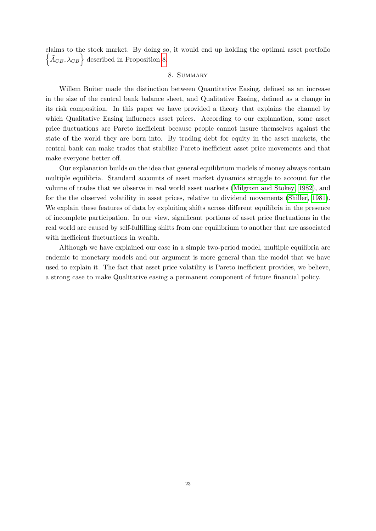claims to the stock market. By doing so, it would end up holding the optimal asset portfolio  $\left\{\tilde{A}_{CB}, \lambda_{CB}\right\}$  described in Proposition [8.](#page-23-0)

## 8. SUMMARY

Willem Buiter made the distinction between Quantitative Easing, defined as an increase in the size of the central bank balance sheet, and Qualitative Easing, defined as a change in its risk composition. In this paper we have provided a theory that explains the channel by which Qualitative Easing influences asset prices. According to our explanation, some asset price fluctuations are Pareto inefficient because people cannot insure themselves against the state of the world they are born into. By trading debt for equity in the asset markets, the central bank can make trades that stabilize Pareto inefficient asset price movements and that make everyone better off.

Our explanation builds on the idea that general equilibrium models of money always contain multiple equilibria. Standard accounts of asset market dynamics struggle to account for the volume of trades that we observe in real world asset markets [\(Milgrom and Stokey, 1982\)](#page-27-11), and for the the observed volatility in asset prices, relative to dividend movements [\(Shiller, 1981\)](#page-27-12). We explain these features of data by exploiting shifts across different equilibria in the presence of incomplete participation. In our view, significant portions of asset price fluctuations in the real world are caused by self-fulfilling shifts from one equilibrium to another that are associated with inefficient fluctuations in wealth.

Although we have explained our case in a simple two-period model, multiple equilibria are endemic to monetary models and our argument is more general than the model that we have used to explain it. The fact that asset price volatility is Pareto inefficient provides, we believe, a strong case to make Qualitative easing a permanent component of future financial policy.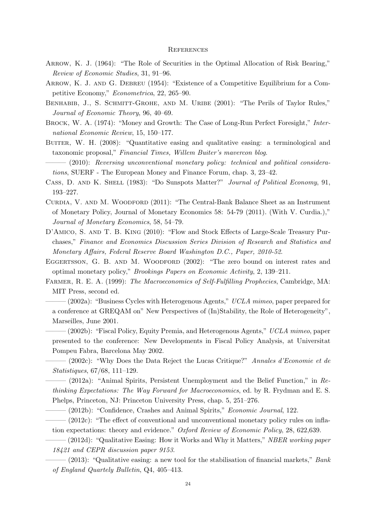#### **REFERENCES**

- <span id="page-25-18"></span>ARROW, K. J. (1964): "The Role of Securities in the Optimal Allocation of Risk Bearing," Review of Economic Studies, 31, 91–96.
- <span id="page-25-13"></span>ARROW, K. J. AND G. DEBREU (1954): "Existence of a Competitive Equilibrium for a Competitive Economy," Econometrica, 22, 265–90.
- <span id="page-25-11"></span>BENHABIB, J., S. SCHMITT-GROHE, AND M. URIBE (2001): "The Perils of Taylor Rules," Journal of Economic Theory, 96, 40–69.
- <span id="page-25-10"></span>BROCK, W. A. (1974): "Money and Growth: The Case of Long-Run Perfect Foresight," International Economic Review, 15, 150–177.
- <span id="page-25-2"></span>BUITER, W. H. (2008): "Quantitative easing and qualitative easing: a terminological and taxonomic proposal," Financial Times, Willem Buiter's mavercon blog.

<span id="page-25-0"></span> $-$  (2010): Reversing unconventional monetary policy: technical and political considerations, SUERF - The European Money and Finance Forum, chap. 3, 23–42.

- <span id="page-25-7"></span>CASS, D. AND K. SHELL (1983): "Do Sunspots Matter?" Journal of Political Economy, 91, 193–227.
- <span id="page-25-12"></span>CURDIA, V. AND M. WOODFORD (2011): "The Central-Bank Balance Sheet as an Instrument of Monetary Policy, Journal of Monetary Economics 58: 54-79 (2011). (With V. Curdia.)," Journal of Monetary Economics, 58, 54–79.
- <span id="page-25-9"></span>D'AMICO, S. AND T. B. KING (2010): "Flow and Stock Effects of Large-Scale Treasury Purchases," Finance and Economics Discussion Series Division of Research and Statistics and Monetary Affairs, Federal Reserve Board Washington D.C., Paper, 2010-52.
- <span id="page-25-8"></span>EGGERTSSON, G. B. AND M. WOODFORD (2002): "The zero bound on interest rates and optimal monetary policy," Brookings Papers on Economic Activity, 2, 139–211.
- <span id="page-25-14"></span><span id="page-25-5"></span>Farmer, R. E. A. (1999): The Macroeconomics of Self-Fulfilling Prophecies, Cambridge, MA: MIT Press, second ed.
	- $-(2002a)$ : "Business Cycles with Heterogenous Agents," UCLA mimeo, paper prepared for a conference at GREQAM on" New Perspectives of (In)Stability, the Role of Heterogeneity", Marseilles, June 2001.

<span id="page-25-4"></span> $-(2002b)$ : "Fiscal Policy, Equity Premia, and Heterogenous Agents," UCLA mimeo, paper presented to the conference: New Developments in Fiscal Policy Analysis, at Universitat Pompeu Fabra, Barcelona May 2002.

<span id="page-25-16"></span> $-$  (2002c): "Why Does the Data Reject the Lucas Critique?" Annales d'Economie et de Statistiques, 67/68, 111–129.

<span id="page-25-17"></span> $-$  (2012a): "Animal Spirits, Persistent Unemployment and the Belief Function," in Rethinking Expectations: The Way Forward for Macroeconomics, ed. by R. Frydman and E. S. Phelps, Princeton, NJ: Princeton University Press, chap. 5, 251–276.

 $-$  (2012b): "Confidence, Crashes and Animal Spirits," *Economic Journal*, 122.

- <span id="page-25-15"></span><span id="page-25-6"></span> $-$  (2012c): "The effect of conventional and unconventional monetary policy rules on inflation expectations: theory and evidence." Oxford Review of Economic Policy, 28, 622,639.
- <span id="page-25-1"></span> $-(2012d)$ : "Qualitative Easing: How it Works and Why it Matters," NBER working paper 18421 and CEPR discussion paper 9153.
- <span id="page-25-3"></span> $-$  (2013): "Qualitative easing: a new tool for the stabilisation of financial markets," Bank of England Quartely Bulletin, Q4, 405–413.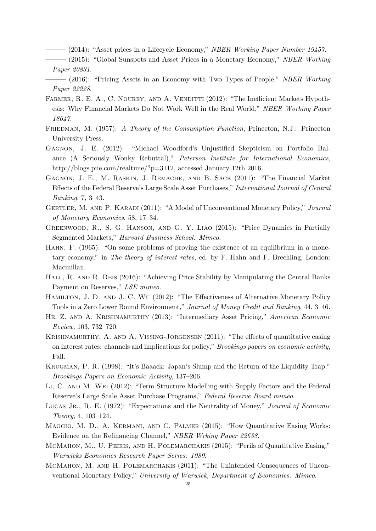- <span id="page-26-0"></span> $-$  (2014): "Asset prices in a Lifecycle Economy," *NBER Working Paper Number 19457*.
- <span id="page-26-1"></span> $-$  (2015): "Global Sunspots and Asset Prices in a Monetary Economy," NBER Working Paper 20831.
- <span id="page-26-12"></span> $-$  (2016): "Pricing Assets in an Economy with Two Types of People," NBER Working Paper 22228.
- <span id="page-26-2"></span>FARMER, R. E. A., C. NOURRY, AND A. VENDITTI (2012): "The Inefficient Markets Hypothesis: Why Financial Markets Do Not Work Well in the Real World," NBER Working Paper 18647.
- <span id="page-26-18"></span>FRIEDMAN, M. (1957): A Theory of the Consumption Function, Princeton, N.J.: Princeton University Press.
- <span id="page-26-3"></span>Gagnon, J. E. (2012): "Michael Woodford's Unjustified Skepticism on Portfolio Balance (A Seriously Wonky Rebuttal)," Peterson Institute for International Economics, http://blogs.piie.com/realtime/?p=3112, accessed January 12th 2016.
- <span id="page-26-5"></span>Gagnon, J. E., M. Raskin, J. Remache, and B. Sack (2011): "The Financial Market Effects of the Federal Reserve's Large Scale Asset Purchases," International Journal of Central Banking, 7, 3–43.
- <span id="page-26-14"></span>GERTLER, M. AND P. KARADI (2011): "A Model of Unconventional Monetary Policy," Journal of Monetary Economics, 58, 17–34.
- <span id="page-26-13"></span>Greenwood, R., S. G. Hanson, and G. Y. Liao (2015): "Price Dynamics in Partially Segmented Markets," Harvard Business School: Mimeo.
- <span id="page-26-8"></span>Hahn, F. (1965): "On some problems of proving the existence of an equilibrium in a monetary economy," in The theory of interest rates, ed. by F. Hahn and F. Brechling, London: Macmillan.
- <span id="page-26-11"></span>HALL, R. AND R. REIS (2016): "Achieving Price Stability by Manipulating the Central Banks Payment on Reserves," LSE mimeo.
- <span id="page-26-7"></span>Hamilton, J. D. and J. C. Wu (2012): "The Effectiveness of Alternative Monetary Policy Tools in a Zero Lower Bound Environment," Journal of Money Credit and Banking, 44, 3–46.
- <span id="page-26-15"></span>HE, Z. AND A. KRISHNAMURTHY (2013): "Intermediary Asset Pricing," American Economic Review, 103, 732–720.
- <span id="page-26-16"></span>Krishnamurthy, A. and A. Vissing-Jorgensen (2011): "The effects of quantitative easing on interest rates: channels and implications for policy," Brookings papers on economic activity, Fall.
- <span id="page-26-4"></span>Krugman, P. R. (1998): "It's Baaack: Japan's Slump and the Return of the Liquidity Trap," Brookings Papers on Economic Activity, 137–206.
- <span id="page-26-6"></span>Li, C. and M. Wei (2012): "Term Structure Modelling with Supply Factors and the Federal Reserve's Large Scale Asset Purchase Programs," Federal Reserve Board mimeo.
- <span id="page-26-19"></span>LUCAS JR., R. E. (1972): "Expectations and the Neutrality of Money," Journal of Economic Theory, 4, 103–124.
- <span id="page-26-17"></span>Maggio, M. D., A. Kermani, and C. Palmer (2015): "How Quantitative Easing Works: Evidence on the Refinancing Channel," NBER Wrking Paper 22638.
- <span id="page-26-10"></span>McMahon, M., U. Peiris, and H. Polemarchakis (2015): "Perils of Quantitative Easing," Warwicks Economics Research Paper Series: 1089.
- <span id="page-26-9"></span>McMahon, M. and H. Polemarchakis (2011): "The Unintended Consequences of Unconventional Monetary Policy," University of Warwick, Department of Economics: Mimeo.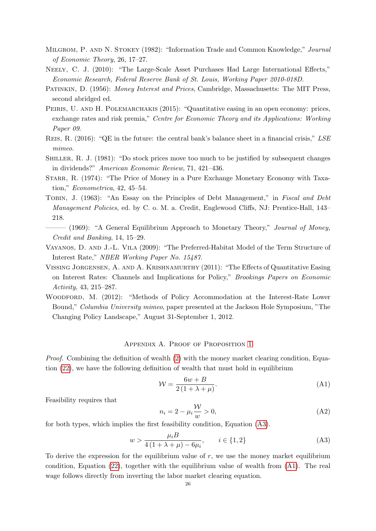- <span id="page-27-11"></span>Milgrom, P. and N. Stokey (1982): "Information Trade and Common Knowledge," Journal of Economic Theory, 26, 17–27.
- <span id="page-27-4"></span>NEELY, C. J. (2010): "The Large-Scale Asset Purchases Had Large International Effects," Economic Research, Federal Reserve Bank of St. Louis, Working Paper 2010-018D.
- <span id="page-27-5"></span>PATINKIN, D. (1956): Money Interest and Prices, Cambridge, Massachusetts: The MIT Press, second abridged ed.
- <span id="page-27-7"></span>PEIRIS, U. AND H. POLEMARCHAKIS (2015): "Quantitative easing in an open economy: prices, exchange rates and risk premia," Centre for Economic Theory and its Applications: Working Paper 09.
- <span id="page-27-8"></span>Reis, R. (2016): "QE in the future: the central bank's balance sheet in a financial crisis," LSE mimeo.
- <span id="page-27-12"></span>Shiller, R. J. (1981): "Do stock prices move too much to be justified by subsequent changes in dividends?" American Economic Review, 71, 421–436.
- <span id="page-27-6"></span>STARR, R. (1974): "The Price of Money in a Pure Exchange Monetary Economy with Taxation," Econometrica, 42, 45–54.
- <span id="page-27-1"></span>TOBIN, J. (1963): "An Essay on the Principles of Debt Management," in Fiscal and Debt Management Policies, ed. by C. o. M. a. Credit, Englewood Cliffs, NJ: Prentice-Hall, 143– 218.
- <span id="page-27-2"></span>- (1969): "A General Equilibrium Approach to Monetary Theory," Journal of Money, Credit and Banking, 14, 15–29.
- <span id="page-27-9"></span>Vayanos, D. and J.-L. Vila (2009): "The Preferred-Habitat Model of the Term Structure of Interest Rate," NBER Working Paper No. 15487.
- <span id="page-27-3"></span>Vissing Jorgensen, A. and A. Krishnamurthy (2011): "The Effects of Quantitative Easing on Interest Rates: Channels and Implications for Policy," Brookings Papers on Economic Activity, 43, 215–287.
- <span id="page-27-0"></span>WOODFORD, M. (2012): "Methods of Policy Accommodation at the Interest-Rate Lower Bound," Columbia University mimeo, paper presented at the Jackson Hole Symposium, "The Changing Policy Landscape," August 31-September 1, 2012.

#### Appendix A. Proof of Proposition [1](#page-11-0)

<span id="page-27-10"></span>*Proof.* Combining the definition of wealth  $(2)$  with the money market clearing condition, Equation [\(22\)](#page-10-3), we have the following definition of wealth that must hold in equilibrium

<span id="page-27-14"></span>
$$
\mathcal{W} = \frac{6w + B}{2\left(1 + \lambda + \mu\right)}.\tag{A1}
$$

Feasibility requires that

<span id="page-27-13"></span>
$$
n_i = 2 - \mu_i \frac{\mathcal{W}}{w} > 0,\tag{A2}
$$

for both types, which implies the first feasibility condition, Equation [\(A3\)](#page-27-13).

$$
w > \frac{\mu_i B}{4(1 + \lambda + \mu) - 6\mu_i}, \qquad i \in \{1, 2\}
$$
 (A3)

To derive the expression for the equilibrium value of  $r$ , we use the money market equilibrium condition, Equation [\(22\)](#page-10-3), together with the equilibrium value of wealth from [\(A1\)](#page-27-14). The real wage follows directly from inverting the labor market clearing equation.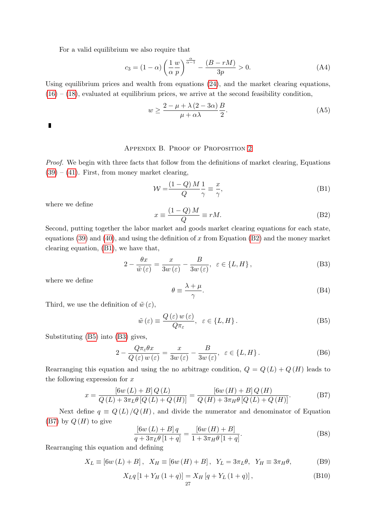For a valid equilibrium we also require that

$$
c_3 = (1 - \alpha) \left(\frac{1}{\alpha} \frac{w}{p}\right)^{\frac{\alpha}{\alpha - 1}} - \frac{(B - rM)}{3p} > 0. \tag{A4}
$$

Using equilibrium prices and wealth from equations [\(24\)](#page-11-2), and the market clearing equations,  $(16) - (18)$  $(16) - (18)$  $(16) - (18)$ , evaluated at equilibrium prices, we arrive at the second feasibility condition,

$$
w \ge \frac{2 - \mu + \lambda (2 - 3\alpha)}{\mu + \alpha \lambda} \frac{B}{2}.\tag{A5}
$$

 $\blacksquare$ 

## Appendix B. Proof of Proposition [2](#page-17-0)

<span id="page-28-0"></span>Proof. We begin with three facts that follow from the definitions of market clearing, Equations  $(39) - (41)$  $(39) - (41)$  $(39) - (41)$ . First, from money market clearing,

<span id="page-28-2"></span>
$$
\mathcal{W} = \frac{(1 - Q) M}{Q} \frac{1}{\gamma} \equiv \frac{x}{\gamma},\tag{B1}
$$

where we define

<span id="page-28-1"></span>
$$
x \equiv \frac{(1 - Q) M}{Q} \equiv rM.
$$
 (B2)

Second, putting together the labor market and goods market clearing equations for each state, equations [\(39\)](#page-16-1) and [\(40\)](#page-16-0), and using the definition of x from Equation [\(B2\)](#page-28-1) and the money market clearing equation, [\(B1\)](#page-28-2), we have that,

$$
2 - \frac{\theta x}{\tilde{w}(\varepsilon)} = \frac{x}{3w(\varepsilon)} - \frac{B}{3w(\varepsilon)}, \ \varepsilon \in \{L, H\},\tag{B3}
$$

where we define

<span id="page-28-5"></span><span id="page-28-4"></span><span id="page-28-3"></span>
$$
\theta \equiv \frac{\lambda + \mu}{\gamma}.\tag{B4}
$$

Third, we use the definition of  $\tilde{w}(\varepsilon)$ ,

$$
\tilde{w}(\varepsilon) \equiv \frac{Q(\varepsilon) w(\varepsilon)}{Q \pi_{\varepsilon}}, \ \ \varepsilon \in \{L, H\}.
$$
\n(B5)

Substituting [\(B5\)](#page-28-3) into [\(B3\)](#page-28-4) gives,

$$
2 - \frac{Q\pi_{\varepsilon}\theta x}{Q(\varepsilon) w(\varepsilon)} = \frac{x}{3w(\varepsilon)} - \frac{B}{3w(\varepsilon)}, \ \varepsilon \in \{L, H\}.
$$
 (B6)

Rearranging this equation and using the no arbitrage condition,  $Q = Q(L) + Q(H)$  leads to the following expression for  $x$ 

$$
x = \frac{\left[6w\left(L\right) + B\right]Q\left(L\right)}{Q\left(L\right) + 3\pi_{L}\theta\left[Q\left(L\right) + Q\left(H\right)\right]} = \frac{\left[6w\left(H\right) + B\right]Q\left(H\right)}{Q\left(H\right) + 3\pi_{H}\theta\left[Q\left(L\right) + Q\left(H\right)\right]}.
$$
\n(B7)

Next define  $q \equiv Q(L)/Q(H)$ , and divide the numerator and denominator of Equation  $(B7)$  by  $Q(H)$  to give

<span id="page-28-6"></span>
$$
\frac{\left[6w\left(L\right) + B\right]q}{q + 3\pi_L \theta \left[1 + q\right]} = \frac{\left[6w\left(H\right) + B\right]}{1 + 3\pi_H \theta \left[1 + q\right]}.
$$
\n(B8)

Rearranging this equation and defining

$$
X_L \equiv [6w(L) + B], \quad X_H \equiv [6w(H) + B], \quad Y_L = 3\pi_L \theta, \quad Y_H \equiv 3\pi_H \theta,
$$
 (B9)

$$
X_L q [1 + Y_H (1 + q)] = X_H [q + Y_L (1 + q)], \qquad (B10)
$$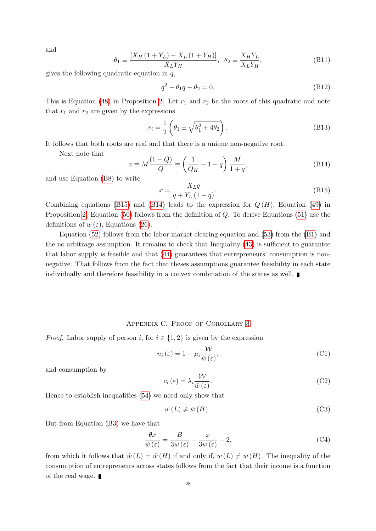and

$$
\theta_1 \equiv \frac{[X_H (1 + Y_L) - X_L (1 + Y_H)]}{X_L Y_H}, \ \theta_2 \equiv \frac{X_H Y_L}{X_L Y_H}, \tag{B11}
$$

gives the following quadratic equation in  $q$ ,

$$
q^2 - \theta_1 q - \theta_2 = 0. \tag{B12}
$$

This is Equation [\(48\)](#page-17-2) in Proposition [2.](#page-17-0) Let  $r_1$  and  $r_2$  be the roots of this quadratic and note that  $r_1$  and  $r_2$  are given by the expressions

$$
r_i = \frac{1}{2} \left( \theta_1 \pm \sqrt{\theta_1^2 + 4\theta_2} \right). \tag{B13}
$$

It follows that both roots are real and that there is a unique non-negative root.

Next note that

$$
x \equiv M \frac{(1 - Q)}{Q} \equiv \left(\frac{1}{Q_H} - 1 - q\right) \frac{M}{1 + q},\tag{B14}
$$

and use Equation [\(B8\)](#page-28-6) to write

<span id="page-29-2"></span><span id="page-29-1"></span>
$$
x = \frac{X_L q}{q + Y_L (1 + q)}.\tag{B15}
$$

Combining equations [\(B15\)](#page-29-1) and [\(B14\)](#page-29-2) leads to the expression for  $Q(H)$ , Equation [\(49\)](#page-17-3) in Proposition [2.](#page-17-0) Equation [\(50\)](#page-17-4) follows from the definition of  $Q$ . To derive Equations [\(51\)](#page-17-5) use the definitions of  $w(\varepsilon)$ , Equations [\(26\)](#page-14-5).

Equation [\(52\)](#page-17-6) follows from the labor market clearing equation and [\(53\)](#page-17-7) from the [\(B1\)](#page-28-2) and the no arbitrage assumption. It remains to check that Inequality [\(43\)](#page-17-8) is sufficient to guarantee that labor supply is feasible and that [\(44\)](#page-17-8) guarantees that entrepreneurs' consumption is nonnegative. That follows from the fact that theses assumptions guarantee feasibility in each state individually and therefore feasibility in a convex combination of the states as well.

#### Appendix C. Proof of Corollary [3](#page-17-1)

<span id="page-29-0"></span>*Proof.* Labor supply of person i, for  $i \in \{1, 2\}$  is given by the expression

$$
n_i(\varepsilon) = 1 - \mu_i \frac{\mathcal{W}}{\tilde{w}(\varepsilon)},\tag{C1}
$$

and consumption by

$$
c_i\left(\varepsilon\right) = \lambda_i \frac{\mathcal{W}}{\tilde{w}\left(\varepsilon\right)}.\tag{C2}
$$

Hence to establish inequalities [\(54\)](#page-17-9) we need only show that

$$
\tilde{w}(L) \neq \tilde{w}(H). \tag{C3}
$$

But from Equation [\(B3\)](#page-28-4) we have that

$$
\frac{\theta x}{\tilde{w}(\varepsilon)} = \frac{B}{3w(\varepsilon)} - \frac{x}{3w(\varepsilon)} - 2,\tag{C4}
$$

from which it follows that  $\tilde{w}(L) = \tilde{w}(H)$  if and only if,  $w(L) \neq w(H)$ . The inequality of the consumption of entrepreneurs across states follows from the fact that their income is a function of the real wage.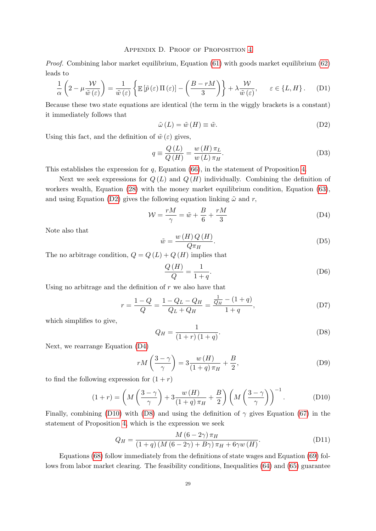#### Appendix D. Proof of Proposition [4](#page-19-3)

<span id="page-30-0"></span>Proof. Combining labor market equilibrium, Equation [\(61\)](#page-19-0) with goods market equilibrium [\(62\)](#page-19-2) leads to

$$
\frac{1}{\alpha} \left( 2 - \mu \frac{\mathcal{W}}{\tilde{w}(\varepsilon)} \right) = \frac{1}{\tilde{w}(\varepsilon)} \left\{ \mathbb{E} \left[ \tilde{p}(\varepsilon) \Pi(\varepsilon) \right] - \left( \frac{B - rM}{3} \right) \right\} + \lambda \frac{\mathcal{W}}{\tilde{w}(\varepsilon)}, \qquad \varepsilon \in \{L, H\}.
$$
 (D1)

Because these two state equations are identical (the term in the wiggly brackets is a constant) it immediately follows that

<span id="page-30-1"></span>
$$
\tilde{\omega}(L) = \tilde{w}(H) \equiv \tilde{w}.
$$
 (D2)

Using this fact, and the definition of  $\tilde{w}(\varepsilon)$  gives,

$$
q \equiv \frac{Q\left(L\right)}{Q\left(H\right)} = \frac{w\left(H\right)\pi_L}{w\left(L\right)\pi_H}.\tag{D3}
$$

This establishes the expression for q, Equation [\(66\)](#page-19-4), in the statement of Proposition [4.](#page-19-3)

Next we seek expressions for  $Q(L)$  and  $Q(H)$  individually. Combining the definition of workers wealth, Equation [\(28\)](#page-14-6) with the money market equilibrium condition, Equation [\(63\)](#page-19-1), and using Equation [\(D2\)](#page-30-1) gives the following equation linking  $\tilde{\omega}$  and r,

$$
\mathcal{W} = \frac{rM}{\gamma} = \tilde{w} + \frac{B}{6} + \frac{rM}{3}
$$
 (D4)

Note also that

<span id="page-30-2"></span>
$$
\tilde{w} = \frac{w(H)Q(H)}{Q\pi_H}.
$$
\n(D5)

The no arbitrage condition,  $Q = Q(L) + Q(H)$  implies that

$$
\frac{Q(H)}{Q} = \frac{1}{1+q}.\tag{D6}
$$

Using no arbitrage and the definition of  $r$  we also have that

$$
r = \frac{1 - Q}{Q} = \frac{1 - Q_L - Q_H}{Q_L + Q_H} = \frac{\frac{1}{Q_H} - (1 + q)}{1 + q},
$$
(D7)

which simplifies to give,

<span id="page-30-4"></span><span id="page-30-3"></span>
$$
Q_H = \frac{1}{(1+r)(1+q)}.\t(D8)
$$

Next, we rearrange Equation [\(D4\)](#page-30-2)

$$
rM\left(\frac{3-\gamma}{\gamma}\right) = 3\frac{w(H)}{(1+q)\pi_H} + \frac{B}{2},\tag{D9}
$$

to find the following expression for  $(1 + r)$ 

$$
(1+r) = \left(M\left(\frac{3-\gamma}{\gamma}\right) + 3\frac{w(H)}{(1+q)\pi_H} + \frac{B}{2}\right) \left(M\left(\frac{3-\gamma}{\gamma}\right)\right)^{-1}.
$$
 (D10)

Finally, combining [\(D10\)](#page-30-3) with [\(D8\)](#page-30-4) and using the definition of  $\gamma$  gives Equation [\(67\)](#page-19-5) in the statement of Proposition [4,](#page-19-3) which is the expression we seek

$$
Q_H = \frac{M (6 - 2\gamma) \pi_H}{(1 + q) (M (6 - 2\gamma) + B\gamma) \pi_H + 6\gamma w (H)}.
$$
 (D11)

Equations [\(68\)](#page-20-1) follow immediately from the definitions of state wages and Equation [\(69\)](#page-20-2) follows from labor market clearing. The feasibility conditions, Inequalities [\(64\)](#page-19-6) and [\(65\)](#page-19-6) guarantee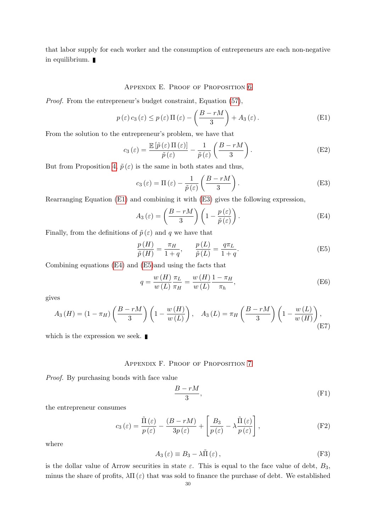that labor supply for each worker and the consumption of entrepreneurs are each non-negative in equilibrium.

### Appendix E. Proof of Proposition [6](#page-20-0)

<span id="page-31-0"></span>Proof. From the entrepreneur's budget constraint, Equation [\(57\)](#page-18-2),

$$
p(\varepsilon) c_3(\varepsilon) \le p(\varepsilon) \Pi(\varepsilon) - \left(\frac{B - rM}{3}\right) + A_3(\varepsilon).
$$
 (E1)

From the solution to the entrepreneur's problem, we have that

$$
c_3(\varepsilon) = \frac{\mathbb{E}\left[\tilde{p}(\varepsilon)\Pi(\varepsilon)\right]}{\tilde{p}(\varepsilon)} - \frac{1}{\tilde{p}(\varepsilon)} \left(\frac{B - rM}{3}\right). \tag{E2}
$$

But from Proposition [4,](#page-19-3)  $\tilde{p}(\varepsilon)$  is the same in both states and thus,

<span id="page-31-3"></span><span id="page-31-2"></span>
$$
c_3(\varepsilon) = \Pi(\varepsilon) - \frac{1}{\tilde{p}(\varepsilon)} \left( \frac{B - rM}{3} \right). \tag{E3}
$$

Rearranging Equation [\(E1\)](#page-31-2) and combining it with [\(E3\)](#page-31-3) gives the following expression,

<span id="page-31-4"></span>
$$
A_3(\varepsilon) = \left(\frac{B - rM}{3}\right) \left(1 - \frac{p(\varepsilon)}{\tilde{p}(\varepsilon)}\right). \tag{E4}
$$

Finally, from the definitions of  $\tilde{p}(\varepsilon)$  and q we have that

<span id="page-31-5"></span>
$$
\frac{p(H)}{\tilde{p}(H)} = \frac{\pi_H}{1+q}, \qquad \frac{p(L)}{\tilde{p}(L)} = \frac{q\pi_L}{1+q}.
$$
\n(E5)

Combining equations [\(E4\)](#page-31-4) and [\(E5\)](#page-31-5)and using the facts that

$$
q = \frac{w(H)}{w(L)} \frac{\pi_L}{\pi_H} = \frac{w(H)}{w(L)} \frac{1 - \pi_H}{\pi_h},
$$
 (E6)

gives

$$
A_3(H) = (1 - \pi_H) \left(\frac{B - rM}{3}\right) \left(1 - \frac{w(H)}{w(L)}\right), \quad A_3(L) = \pi_H \left(\frac{B - rM}{3}\right) \left(1 - \frac{w(L)}{w(H)}\right),\tag{E7}
$$

which is the expression we seek.  $\blacksquare$ 

## Appendix F. Proof of Proposition [7](#page-21-1)

<span id="page-31-1"></span>Proof. By purchasing bonds with face value

$$
\frac{B - rM}{3},\tag{F1}
$$

the entrepreneur consumes

$$
c_3(\varepsilon) = \frac{\tilde{\Pi}(\varepsilon)}{p(\varepsilon)} - \frac{(B - rM)}{3p(\varepsilon)} + \left[\frac{B_3}{p(\varepsilon)} - \lambda \frac{\tilde{\Pi}(\varepsilon)}{p(\varepsilon)}\right],
$$
 (F2)

where

$$
A_3(\varepsilon) \equiv B_3 - \lambda \tilde{\Pi}(\varepsilon), \tag{F3}
$$

is the dollar value of Arrow securities in state  $\varepsilon$ . This is equal to the face value of debt,  $B_3$ , minus the share of profits,  $\lambda \Pi(\varepsilon)$  that was sold to finance the purchase of debt. We established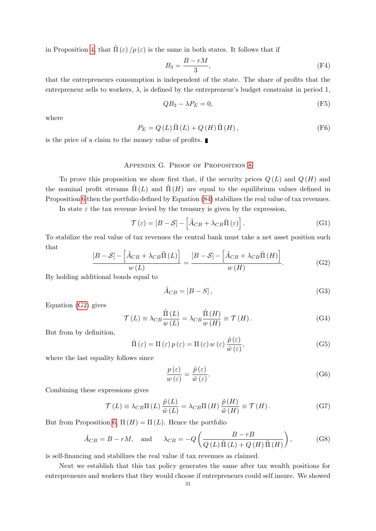in Proposition [4,](#page-19-3) that  $\Pi(\varepsilon)/p(\varepsilon)$  is the same in both states. It follows that if

$$
B_3 = \frac{B - rM}{3},\tag{F4}
$$

that the entrepreneurs consumption is independent of the state. The share of profits that the entrepreneur sells to workers,  $\lambda$ , is defined by the entrepreneur's budget constraint in period 1,

$$
QB_3 - \lambda P_E = 0,\t\t(F5)
$$

where

$$
P_E = Q(L)\tilde{\Pi}(L) + Q(H)\tilde{\Pi}(H),
$$
\n(F6)

is the price of a claim to the money value of profits.

### Appendix G. Proof of Proposition [8](#page-23-0)

<span id="page-32-0"></span>To prove this proposition we show first that, if the security prices  $Q(L)$  and  $Q(H)$  and the nominal profit streams  $\tilde{\Pi}(L)$  and  $\tilde{\Pi}(H)$  are equal to the equilibrium values defined in Proposition [6](#page-20-0) then the portfolio defined by Equation [\(84\)](#page-23-2) stabilizes the real value of tax revenues.

In state  $\varepsilon$  the tax revenue levied by the treasury is given by the expression,

$$
\mathcal{T}(\varepsilon) = [B - S] - \left[ \tilde{A}_{CB} + \lambda_{CB} \tilde{\Pi}(\varepsilon) \right].
$$
 (G1)

To stabilize the real value of tax revenues the central bank must take a net asset position such that

$$
\frac{[B-S] - \left[\tilde{A}_{CB} + \lambda_{CB}\tilde{\Pi}(L)\right]}{w(L)} = \frac{[B-S] - \left[\tilde{A}_{CB} + \lambda_{CB}\tilde{\Pi}(H)\right]}{w(H)}.
$$
(G2)

By holding additional bonds equal to

<span id="page-32-1"></span>
$$
\tilde{A}_{CB} = [B - S],\tag{G3}
$$

Equation [\(G2\)](#page-32-1) gives

$$
\mathcal{T}(L) \equiv \lambda_{CB} \frac{\tilde{\Pi}(L)}{w(L)} = \lambda_{CB} \frac{\tilde{\Pi}(H)}{w(H)} \equiv \mathcal{T}(H). \tag{G4}
$$

But from by definition,

$$
\tilde{\Pi}(\varepsilon) = \Pi(\varepsilon) p(\varepsilon) = \Pi(\varepsilon) w(\varepsilon) \frac{\tilde{p}(\varepsilon)}{\tilde{w}(\varepsilon)},
$$
\n(G5)

where the last equality follows since

$$
\frac{p(\varepsilon)}{w(\varepsilon)} = \frac{\tilde{p}(\varepsilon)}{\tilde{w}(\varepsilon)}.\tag{G6}
$$

Combining these expressions gives

$$
\mathcal{T}(L) \equiv \lambda_{CB} \Pi(L) \frac{\tilde{p}(L)}{\tilde{w}(L)} = \lambda_{CB} \Pi(H) \frac{\tilde{p}(H)}{\tilde{w}(H)} \equiv \mathcal{T}(H). \tag{G7}
$$

But from Proposition [6,](#page-20-0)  $\Pi(H) = \Pi(L)$ . Hence the portfolio

$$
\tilde{A}_{CB} = B - rM
$$
, and  $\lambda_{CB} = -Q \left( \frac{B - rB}{Q(L)\tilde{\Pi}(L) + Q(H)\tilde{\Pi}(H)} \right)$ , (G8)

is self-financing and stabilizes the real value if tax revenues as claimed.

Next we establish that this tax policy generates the same after tax wealth positions for entrepreneurs and workers that they would choose if entrepreneurs could self insure. We showed